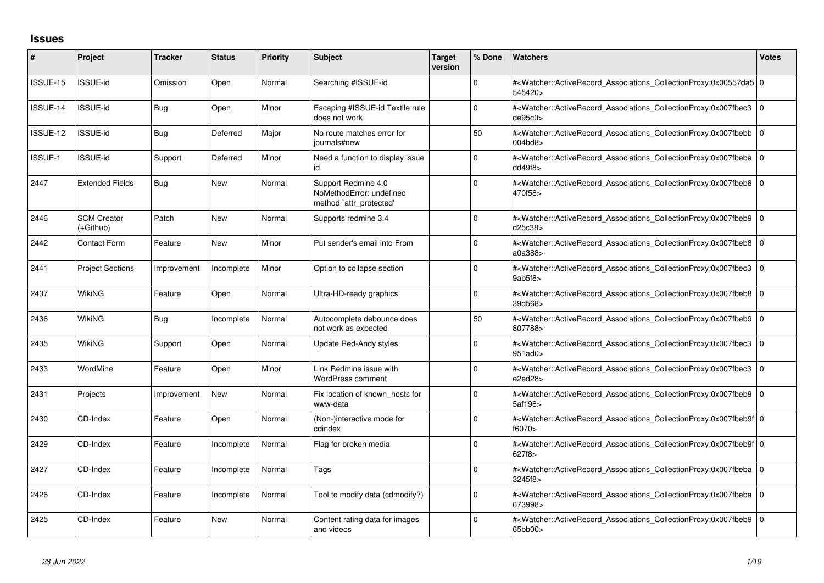## **Issues**

| #        | Project                         | <b>Tracker</b> | <b>Status</b> | <b>Priority</b> | <b>Subject</b>                                                             | <b>Target</b><br>version | % Done       | <b>Watchers</b>                                                                                                                                          | <b>Votes</b> |
|----------|---------------------------------|----------------|---------------|-----------------|----------------------------------------------------------------------------|--------------------------|--------------|----------------------------------------------------------------------------------------------------------------------------------------------------------|--------------|
| ISSUE-15 | ISSUE-id                        | Omission       | Open          | Normal          | Searching #ISSUE-id                                                        |                          | $\Omega$     | # <watcher::activerecord_associations_collectionproxy:0x00557da5 0<br="">545420&gt;</watcher::activerecord_associations_collectionproxy:0x00557da5>      |              |
| ISSUE-14 | <b>ISSUE-id</b>                 | Bug            | Open          | Minor           | Escaping #ISSUE-id Textile rule<br>does not work                           |                          | $\Omega$     | # <watcher::activerecord 0<br="" associations="" collectionproxy:0x007fbec3=""  ="">de95c0&gt;</watcher::activerecord>                                   |              |
| ISSUE-12 | <b>ISSUE-id</b>                 | <b>Bug</b>     | Deferred      | Major           | No route matches error for<br>journals#new                                 |                          | 50           | # <watcher::activerecord_associations_collectionproxy:0x007fbebb 0<br="">004bd8&gt;</watcher::activerecord_associations_collectionproxy:0x007fbebb>      |              |
| ISSUE-1  | <b>ISSUE-id</b>                 | Support        | Deferred      | Minor           | Need a function to display issue<br>id                                     |                          | $\mathbf 0$  | # <watcher::activerecord 0<br="" associations="" collectionproxy:0x007fbeba=""  ="">dd49f8</watcher::activerecord>                                       |              |
| 2447     | <b>Extended Fields</b>          | Bug            | <b>New</b>    | Normal          | Support Redmine 4.0<br>NoMethodError: undefined<br>method `attr_protected' |                          | $\Omega$     | # <watcher::activerecord_associations_collectionproxy:0x007fbeb8 0<br="">470f58&gt;</watcher::activerecord_associations_collectionproxy:0x007fbeb8>      |              |
| 2446     | <b>SCM Creator</b><br>(+Github) | Patch          | <b>New</b>    | Normal          | Supports redmine 3.4                                                       |                          | 0            | # <watcher::activerecord 0<br="" associations="" collectionproxy:0x007fbeb9=""  ="">d25c38&gt;</watcher::activerecord>                                   |              |
| 2442     | <b>Contact Form</b>             | Feature        | <b>New</b>    | Minor           | Put sender's email into From                                               |                          | 0            | # <watcher::activerecord 0<br="" associations="" collectionproxy:0x007fbeb8=""  ="">a0a388&gt;</watcher::activerecord>                                   |              |
| 2441     | <b>Project Sections</b>         | Improvement    | Incomplete    | Minor           | Option to collapse section                                                 |                          | $\Omega$     | # <watcher::activerecord_associations_collectionproxy:0x007fbec3 0<br="">9ab5f8</watcher::activerecord_associations_collectionproxy:0x007fbec3>          |              |
| 2437     | WikiNG                          | Feature        | Open          | Normal          | Ultra-HD-ready graphics                                                    |                          | 0            | # <watcher::activerecord associations="" collectionproxy:0x007fbeb8<br="">39d568&gt;</watcher::activerecord>                                             | l O          |
| 2436     | <b>WikiNG</b>                   | <b>Bug</b>     | Incomplete    | Normal          | Autocomplete debounce does<br>not work as expected                         |                          | 50           | # <watcher::activerecord_associations_collectionproxy:0x007fbeb9 0<br="">807788&gt;</watcher::activerecord_associations_collectionproxy:0x007fbeb9>      |              |
| 2435     | <b>WikiNG</b>                   | Support        | Open          | Normal          | <b>Update Red-Andy styles</b>                                              |                          | $\Omega$     | # <watcher::activerecord associations="" collectionproxy:0x007fbec3<br="">951ad0&gt;</watcher::activerecord>                                             | l O          |
| 2433     | WordMine                        | Feature        | Open          | Minor           | Link Redmine issue with<br><b>WordPress comment</b>                        |                          | 0            | # <watcher::activerecord_associations_collectionproxy:0x007fbec3 0<br="">e2ed28&gt;</watcher::activerecord_associations_collectionproxy:0x007fbec3>      |              |
| 2431     | Projects                        | Improvement    | <b>New</b>    | Normal          | Fix location of known_hosts for<br>www-data                                |                          | <sup>0</sup> | # <watcher::activerecord 0<br="" associations="" collectionproxy:0x007fbeb9=""  ="">5af198&gt;</watcher::activerecord>                                   |              |
| 2430     | CD-Index                        | Feature        | Open          | Normal          | (Non-)interactive mode for<br>cdindex                                      |                          | 0            | # <watcher::activerecord_associations_collectionproxy:0x007fbeb9f 0<br="">f6070&gt;</watcher::activerecord_associations_collectionproxy:0x007fbeb9f>     |              |
| 2429     | CD-Index                        | Feature        | Incomplete    | Normal          | Flag for broken media                                                      |                          | 0            | # <watcher::activerecord 0<br="" associations="" collectionproxy:0x007fbeb9f=""  ="">627f8&gt;</watcher::activerecord>                                   |              |
| 2427     | CD-Index                        | Feature        | Incomplete    | Normal          | Tags                                                                       |                          | $\Omega$     | # <watcher::activerecord_associations_collectionproxy:0x007fbeba 0<br=""  ="">3245f8&gt;</watcher::activerecord_associations_collectionproxy:0x007fbeba> |              |
| 2426     | CD-Index                        | Feature        | Incomplete    | Normal          | Tool to modify data (cdmodify?)                                            |                          | $\Omega$     | # <watcher::activerecord 0<br="" associations="" collectionproxy:0x007fbeba=""  ="">673998&gt;</watcher::activerecord>                                   |              |
| 2425     | CD-Index                        | Feature        | <b>New</b>    | Normal          | Content rating data for images<br>and videos                               |                          | 0            | # <watcher::activerecord_associations_collectionproxy:0x007fbeb9 0<br="">65bb00&gt;</watcher::activerecord_associations_collectionproxy:0x007fbeb9>      |              |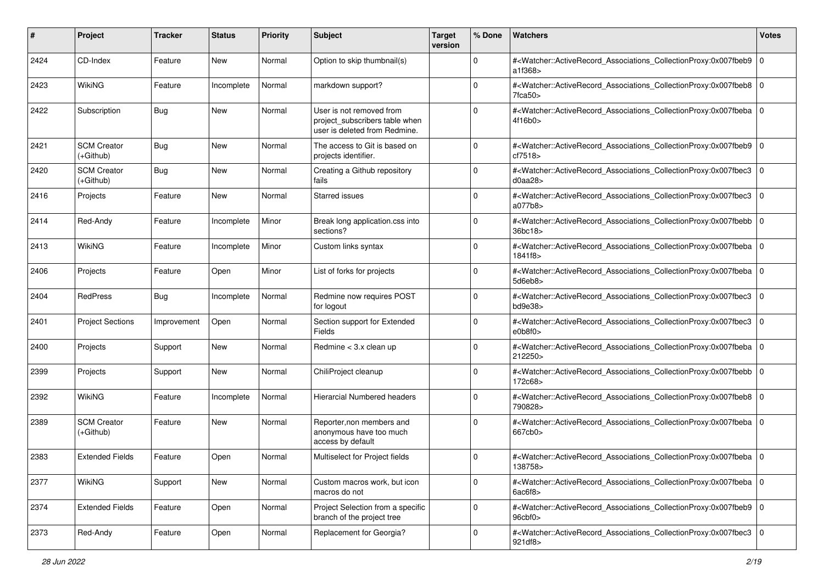| #    | Project                           | <b>Tracker</b> | <b>Status</b> | <b>Priority</b> | Subject                                                                                     | <b>Target</b><br>version | % Done      | Watchers                                                                                                                                                                  | <b>Votes</b> |
|------|-----------------------------------|----------------|---------------|-----------------|---------------------------------------------------------------------------------------------|--------------------------|-------------|---------------------------------------------------------------------------------------------------------------------------------------------------------------------------|--------------|
| 2424 | CD-Index                          | Feature        | New           | Normal          | Option to skip thumbnail(s)                                                                 |                          | $\mathbf 0$ | # <watcher::activerecord_associations_collectionproxy:0x007fbeb9<br>a1f368&gt;</watcher::activerecord_associations_collectionproxy:0x007fbeb9<br>                         | 0            |
| 2423 | <b>WikiNG</b>                     | Feature        | Incomplete    | Normal          | markdown support?                                                                           |                          | $\Omega$    | # <watcher::activerecord_associations_collectionproxy:0x007fbeb8 0<br=""><math>7</math>fca<math>50</math></watcher::activerecord_associations_collectionproxy:0x007fbeb8> |              |
| 2422 | Subscription                      | <b>Bug</b>     | New           | Normal          | User is not removed from<br>project_subscribers table when<br>user is deleted from Redmine. |                          | $\Omega$    | # <watcher::activerecord_associations_collectionproxy:0x007fbeba 0<br=""  ="">4f16b0&gt;</watcher::activerecord_associations_collectionproxy:0x007fbeba>                  |              |
| 2421 | <b>SCM Creator</b><br>$(+Github)$ | <b>Bug</b>     | New           | Normal          | The access to Git is based on<br>projects identifier.                                       |                          | 0           | # <watcher::activerecord_associations_collectionproxy:0x007fbeb9 0<br="">cf7518&gt;</watcher::activerecord_associations_collectionproxy:0x007fbeb9>                       |              |
| 2420 | <b>SCM Creator</b><br>(+Github)   | <b>Bug</b>     | New           | Normal          | Creating a Github repository<br>fails                                                       |                          | $\mathbf 0$ | # <watcher::activerecord_associations_collectionproxy:0x007fbec3<br>d0aa28</watcher::activerecord_associations_collectionproxy:0x007fbec3<br>                             | 0            |
| 2416 | Projects                          | Feature        | <b>New</b>    | Normal          | <b>Starred issues</b>                                                                       |                          | $\Omega$    | # <watcher::activerecord_associations_collectionproxy:0x007fbec3<br>a077b8&gt;</watcher::activerecord_associations_collectionproxy:0x007fbec3<br>                         | 0            |
| 2414 | Red-Andy                          | Feature        | Incomplete    | Minor           | Break long application.css into<br>sections?                                                |                          | $\Omega$    | # <watcher::activerecord_associations_collectionproxy:0x007fbebb<br>36bc18&gt;</watcher::activerecord_associations_collectionproxy:0x007fbebb<br>                         | 0            |
| 2413 | <b>WikiNG</b>                     | Feature        | Incomplete    | Minor           | Custom links syntax                                                                         |                          | $\Omega$    | # <watcher::activerecord_associations_collectionproxy:0x007fbeba<br>1841f8&gt;</watcher::activerecord_associations_collectionproxy:0x007fbeba<br>                         | l 0          |
| 2406 | Projects                          | Feature        | Open          | Minor           | List of forks for projects                                                                  |                          | $\mathbf 0$ | # <watcher::activerecord_associations_collectionproxy:0x007fbeba<br>5d6eb8&gt;</watcher::activerecord_associations_collectionproxy:0x007fbeba<br>                         | ۱o           |
| 2404 | RedPress                          | <b>Bug</b>     | Incomplete    | Normal          | Redmine now requires POST<br>for logout                                                     |                          | $\Omega$    | # <watcher::activerecord_associations_collectionproxy:0x007fbec3<br>bd9e38<sub>&gt;</sub></watcher::activerecord_associations_collectionproxy:0x007fbec3<br>              | 0            |
| 2401 | <b>Project Sections</b>           | Improvement    | Open          | Normal          | Section support for Extended<br>Fields                                                      |                          | $\Omega$    | # <watcher::activerecord_associations_collectionproxy:0x007fbec3<br>e0b8f0</watcher::activerecord_associations_collectionproxy:0x007fbec3<br>                             | l 0          |
| 2400 | Projects                          | Support        | New           | Normal          | Redmine $<$ 3.x clean up                                                                    |                          | $\Omega$    | # <watcher::activerecord_associations_collectionproxy:0x007fbeba<br>212250&gt;</watcher::activerecord_associations_collectionproxy:0x007fbeba<br>                         | 0            |
| 2399 | Projects                          | Support        | New           | Normal          | ChiliProject cleanup                                                                        |                          | 0           | # <watcher::activerecord_associations_collectionproxy:0x007fbebb<br>172c68&gt;</watcher::activerecord_associations_collectionproxy:0x007fbebb<br>                         | l O          |
| 2392 | WikiNG                            | Feature        | Incomplete    | Normal          | <b>Hierarcial Numbered headers</b>                                                          |                          | $\Omega$    | # <watcher::activerecord_associations_collectionproxy:0x007fbeb8 0<br="">790828&gt;</watcher::activerecord_associations_collectionproxy:0x007fbeb8>                       |              |
| 2389 | <b>SCM Creator</b><br>$(+Github)$ | Feature        | <b>New</b>    | Normal          | Reporter, non members and<br>anonymous have too much<br>access by default                   |                          | $\Omega$    | # <watcher::activerecord_associations_collectionproxy:0x007fbeba<br>667cb0&gt;</watcher::activerecord_associations_collectionproxy:0x007fbeba<br>                         | l O          |
| 2383 | <b>Extended Fields</b>            | Feature        | Open          | Normal          | Multiselect for Project fields                                                              |                          | 0           | # <watcher::activerecord_associations_collectionproxy:0x007fbeba 0<br=""  ="">138758&gt;</watcher::activerecord_associations_collectionproxy:0x007fbeba>                  |              |
| 2377 | WikiNG                            | Support        | New           | Normal          | Custom macros work, but icon<br>macros do not                                               |                          | $\mathbf 0$ | # <watcher::activerecord_associations_collectionproxy:0x007fbeba 0<br=""  ="">6ac6f8</watcher::activerecord_associations_collectionproxy:0x007fbeba>                      |              |
| 2374 | <b>Extended Fields</b>            | Feature        | Open          | Normal          | Project Selection from a specific<br>branch of the project tree                             |                          | $\mathbf 0$ | # <watcher::activerecord 0<br="" associations="" collectionproxy:0x007fbeb9="">96cbf0<sub>&gt;</sub></watcher::activerecord>                                              |              |
| 2373 | Red-Andy                          | Feature        | Open          | Normal          | Replacement for Georgia?                                                                    |                          | $\mathbf 0$ | # <watcher::activerecord_associations_collectionproxy:0x007fbec3 0<br="">921df8&gt;</watcher::activerecord_associations_collectionproxy:0x007fbec3>                       |              |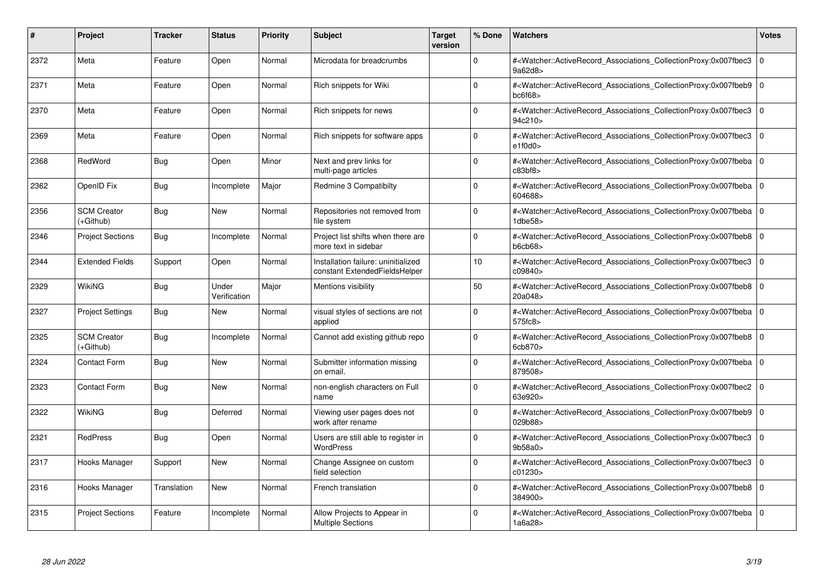| #    | Project                         | <b>Tracker</b> | <b>Status</b>         | <b>Priority</b> | <b>Subject</b>                                                       | <b>Target</b><br>version | % Done      | Watchers                                                                                                                                                 | <b>Votes</b>   |
|------|---------------------------------|----------------|-----------------------|-----------------|----------------------------------------------------------------------|--------------------------|-------------|----------------------------------------------------------------------------------------------------------------------------------------------------------|----------------|
| 2372 | Meta                            | Feature        | Open                  | Normal          | Microdata for breadcrumbs                                            |                          | $\Omega$    | # <watcher::activerecord associations="" collectionproxy:0x007fbec3<br="">9a62d8&gt;</watcher::activerecord>                                             | $\Omega$       |
| 2371 | Meta                            | Feature        | Open                  | Normal          | Rich snippets for Wiki                                               |                          | $\Omega$    | # <watcher::activerecord 0<br="" associations="" collectionproxy:0x007fbeb9=""  ="">bc6f68</watcher::activerecord>                                       |                |
| 2370 | Meta                            | Feature        | Open                  | Normal          | Rich snippets for news                                               |                          | $\Omega$    | # <watcher::activerecord_associations_collectionproxy:0x007fbec3<br>94c210&gt;</watcher::activerecord_associations_collectionproxy:0x007fbec3<br>        | $\Omega$       |
| 2369 | Meta                            | Feature        | Open                  | Normal          | Rich snippets for software apps                                      |                          | $\Omega$    | # <watcher::activerecord associations="" collectionproxy:0x007fbec3<br="">e1f0d0</watcher::activerecord>                                                 | l o            |
| 2368 | RedWord                         | Bug            | Open                  | Minor           | Next and prev links for<br>multi-page articles                       |                          | $\Omega$    | # <watcher::activerecord_associations_collectionproxy:0x007fbeba<br>c83bf8&gt;</watcher::activerecord_associations_collectionproxy:0x007fbeba<br>        | l 0            |
| 2362 | OpenID Fix                      | Bug            | Incomplete            | Major           | Redmine 3 Compatibilty                                               |                          | $\Omega$    | # <watcher::activerecord_associations_collectionproxy:0x007fbeba 0<br="">604688&gt;</watcher::activerecord_associations_collectionproxy:0x007fbeba>      |                |
| 2356 | <b>SCM Creator</b><br>(+Github) | <b>Bug</b>     | <b>New</b>            | Normal          | Repositories not removed from<br>file system                         |                          | $\Omega$    | # <watcher::activerecord associations="" collectionproxy:0x007fbeba<br=""><math>1</math>dbe<math>58</math></watcher::activerecord>                       | $\Omega$       |
| 2346 | <b>Project Sections</b>         | Bug            | Incomplete            | Normal          | Project list shifts when there are<br>more text in sidebar           |                          | $\Omega$    | # <watcher::activerecord_associations_collectionproxy:0x007fbeb8 0<br=""  ="">b6cb68</watcher::activerecord_associations_collectionproxy:0x007fbeb8>     |                |
| 2344 | <b>Extended Fields</b>          | Support        | Open                  | Normal          | Installation failure: uninitialized<br>constant ExtendedFieldsHelper |                          | 10          | # <watcher::activerecord associations="" collectionproxy:0x007fbec3<br="">c09840&gt;</watcher::activerecord>                                             | $\overline{0}$ |
| 2329 | <b>WikiNG</b>                   | <b>Bug</b>     | Under<br>Verification | Major           | Mentions visibility                                                  |                          | 50          | # <watcher::activerecord_associations_collectionproxy:0x007fbeb8 0<br="">20a048&gt;</watcher::activerecord_associations_collectionproxy:0x007fbeb8>      |                |
| 2327 | <b>Project Settings</b>         | <b>Bug</b>     | <b>New</b>            | Normal          | visual styles of sections are not<br>applied                         |                          | $\Omega$    | # <watcher::activerecord_associations_collectionproxy:0x007fbeba 0<br="">575fc8&gt;</watcher::activerecord_associations_collectionproxy:0x007fbeba>      |                |
| 2325 | <b>SCM Creator</b><br>(+Github) | Bug            | Incomplete            | Normal          | Cannot add existing github repo                                      |                          | $\Omega$    | # <watcher::activerecord_associations_collectionproxy:0x007fbeb8 0<br=""  ="">6cb870&gt;</watcher::activerecord_associations_collectionproxy:0x007fbeb8> |                |
| 2324 | Contact Form                    | Bug            | <b>New</b>            | Normal          | Submitter information missing<br>on email.                           |                          | $\Omega$    | # <watcher::activerecord 0<br="" associations="" collectionproxy:0x007fbeba=""  ="">879508&gt;</watcher::activerecord>                                   |                |
| 2323 | Contact Form                    | <b>Bug</b>     | <b>New</b>            | Normal          | non-english characters on Full<br>name                               |                          | $\Omega$    | # <watcher::activerecord_associations_collectionproxy:0x007fbec2 0<br="">63e920&gt;</watcher::activerecord_associations_collectionproxy:0x007fbec2>      |                |
| 2322 | <b>WikiNG</b>                   | Bug            | Deferred              | Normal          | Viewing user pages does not<br>work after rename                     |                          | $\mathbf 0$ | # <watcher::activerecord 0<br="" associations="" collectionproxy:0x007fbeb9=""  ="">029b88&gt;</watcher::activerecord>                                   |                |
| 2321 | <b>RedPress</b>                 | Bug            | Open                  | Normal          | Users are still able to register in<br><b>WordPress</b>              |                          | $\Omega$    | # <watcher::activerecord_associations_collectionproxy:0x007fbec3 0<br=""  ="">9b58a0</watcher::activerecord_associations_collectionproxy:0x007fbec3>     |                |
| 2317 | Hooks Manager                   | Support        | <b>New</b>            | Normal          | Change Assignee on custom<br>field selection                         |                          | $\Omega$    | # <watcher::activerecord_associations_collectionproxy:0x007fbec3<br>c01230&gt;</watcher::activerecord_associations_collectionproxy:0x007fbec3<br>        | l O            |
| 2316 | Hooks Manager                   | Translation    | <b>New</b>            | Normal          | French translation                                                   |                          | $\Omega$    | # <watcher::activerecord_associations_collectionproxy:0x007fbeb8 0<br="">384900&gt;</watcher::activerecord_associations_collectionproxy:0x007fbeb8>      |                |
| 2315 | <b>Project Sections</b>         | Feature        | Incomplete            | Normal          | Allow Projects to Appear in<br><b>Multiple Sections</b>              |                          | $\Omega$    | # <watcher::activerecord_associations_collectionproxy:0x007fbeba 0<br="">1a6a28&gt;</watcher::activerecord_associations_collectionproxy:0x007fbeba>      |                |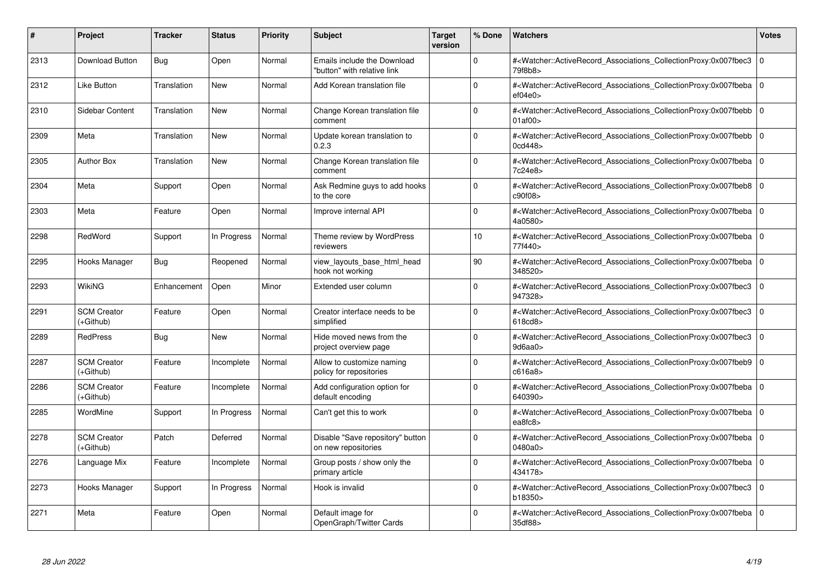| #    | Project                           | Tracker     | <b>Status</b> | <b>Priority</b> | <b>Subject</b>                                             | <b>Target</b><br>version | % Done          | Watchers                                                                                                                                                 | <b>Votes</b> |
|------|-----------------------------------|-------------|---------------|-----------------|------------------------------------------------------------|--------------------------|-----------------|----------------------------------------------------------------------------------------------------------------------------------------------------------|--------------|
| 2313 | Download Button                   | Bug         | Open          | Normal          | Emails include the Download<br>"button" with relative link |                          | $\Omega$        | # <watcher::activerecord associations="" collectionproxy:0x007fbec3<br="">79f8b8&gt;</watcher::activerecord>                                             | $\mathbf 0$  |
| 2312 | Like Button                       | Translation | New           | Normal          | Add Korean translation file                                |                          | $\Omega$        | # <watcher::activerecord 0<br="" associations="" collectionproxy:0x007fbeba=""  ="">ef04e0</watcher::activerecord>                                       |              |
| 2310 | Sidebar Content                   | Translation | <b>New</b>    | Normal          | Change Korean translation file<br>comment                  |                          | $\Omega$        | # <watcher::activerecord_associations_collectionproxy:0x007fbebb<br>01af00&gt;</watcher::activerecord_associations_collectionproxy:0x007fbebb<br>        | $\Omega$     |
| 2309 | Meta                              | Translation | New           | Normal          | Update korean translation to<br>0.2.3                      |                          | $\Omega$        | # <watcher::activerecord_associations_collectionproxy:0x007fbebb 0<br="">0cd448</watcher::activerecord_associations_collectionproxy:0x007fbebb>          |              |
| 2305 | <b>Author Box</b>                 | Translation | New           | Normal          | Change Korean translation file<br>comment                  |                          | $\Omega$        | # <watcher::activerecord_associations_collectionproxy:0x007fbeba  <br="">7c24e8&gt;</watcher::activerecord_associations_collectionproxy:0x007fbeba>      | $\mathbf 0$  |
| 2304 | Meta                              | Support     | Open          | Normal          | Ask Redmine guys to add hooks<br>to the core               |                          | $\Omega$        | # <watcher::activerecord_associations_collectionproxy:0x007fbeb8 0<br="">c90f08&gt;</watcher::activerecord_associations_collectionproxy:0x007fbeb8>      |              |
| 2303 | Meta                              | Feature     | Open          | Normal          | Improve internal API                                       |                          | $\Omega$        | # <watcher::activerecord associations="" collectionproxy:0x007fbeba<br="">4a0580&gt;</watcher::activerecord>                                             | $\mathbf 0$  |
| 2298 | RedWord                           | Support     | In Progress   | Normal          | Theme review by WordPress<br>reviewers                     |                          | 10 <sup>1</sup> | # <watcher::activerecord_associations_collectionproxy:0x007fbeba 0<br=""  ="">77f440&gt;</watcher::activerecord_associations_collectionproxy:0x007fbeba> |              |
| 2295 | Hooks Manager                     | Bug         | Reopened      | Normal          | view_layouts_base_html_head<br>hook not working            |                          | 90              | # <watcher::activerecord_associations_collectionproxy:0x007fbeba 0<br="">348520&gt;</watcher::activerecord_associations_collectionproxy:0x007fbeba>      |              |
| 2293 | WikiNG                            | Enhancement | Open          | Minor           | Extended user column                                       |                          | $\Omega$        | # <watcher::activerecord associations="" collectionproxy:0x007fbec3<br="">947328&gt;</watcher::activerecord>                                             | $\mathbf 0$  |
| 2291 | <b>SCM Creator</b><br>(+Github)   | Feature     | Open          | Normal          | Creator interface needs to be<br>simplified                |                          | $\Omega$        | # <watcher::activerecord_associations_collectionproxy:0x007fbec3<br>618cd8&gt;</watcher::activerecord_associations_collectionproxy:0x007fbec3<br>        | $\Omega$     |
| 2289 | <b>RedPress</b>                   | <b>Bug</b>  | <b>New</b>    | Normal          | Hide moved news from the<br>project overview page          |                          | $\Omega$        | # <watcher::activerecord_associations_collectionproxy:0x007fbec3 0<br=""  ="">9d6aa0</watcher::activerecord_associations_collectionproxy:0x007fbec3>     |              |
| 2287 | <b>SCM Creator</b><br>$(+Github)$ | Feature     | Incomplete    | Normal          | Allow to customize naming<br>policy for repositories       |                          | $\Omega$        | # <watcher::activerecord 0<br="" associations="" collectionproxy:0x007fbeb9=""  ="">c616a8&gt;</watcher::activerecord>                                   |              |
| 2286 | <b>SCM Creator</b><br>(+Github)   | Feature     | Incomplete    | Normal          | Add configuration option for<br>default encoding           |                          | $\Omega$        | # <watcher::activerecord_associations_collectionproxy:0x007fbeba 0<br=""  ="">640390&gt;</watcher::activerecord_associations_collectionproxy:0x007fbeba> |              |
| 2285 | WordMine                          | Support     | In Progress   | Normal          | Can't get this to work                                     |                          | $\Omega$        | # <watcher::activerecord 0<br="" associations="" collectionproxy:0x007fbeba=""  ="">ea8fc8</watcher::activerecord>                                       |              |
| 2278 | <b>SCM Creator</b><br>(+Github)   | Patch       | Deferred      | Normal          | Disable "Save repository" button<br>on new repositories    |                          | $\Omega$        | # <watcher::activerecord_associations_collectionproxy:0x007fbeba 0<br=""  ="">0480a0&gt;</watcher::activerecord_associations_collectionproxy:0x007fbeba> |              |
| 2276 | Language Mix                      | Feature     | Incomplete    | Normal          | Group posts / show only the<br>primary article             |                          | $\Omega$        | # <watcher::activerecord_associations_collectionproxy:0x007fbeba 0<br=""  ="">434178&gt;</watcher::activerecord_associations_collectionproxy:0x007fbeba> |              |
| 2273 | Hooks Manager                     | Support     | In Progress   | Normal          | Hook is invalid                                            |                          | $\Omega$        | # <watcher::activerecord associations="" collectionproxy:0x007fbec3<br="">b18350&gt;</watcher::activerecord>                                             | $\mathbf 0$  |
| 2271 | Meta                              | Feature     | Open          | Normal          | Default image for<br>OpenGraph/Twitter Cards               |                          | $\Omega$        | # <watcher::activerecord_associations_collectionproxy:0x007fbeba 0<br=""  ="">35df88&gt;</watcher::activerecord_associations_collectionproxy:0x007fbeba> |              |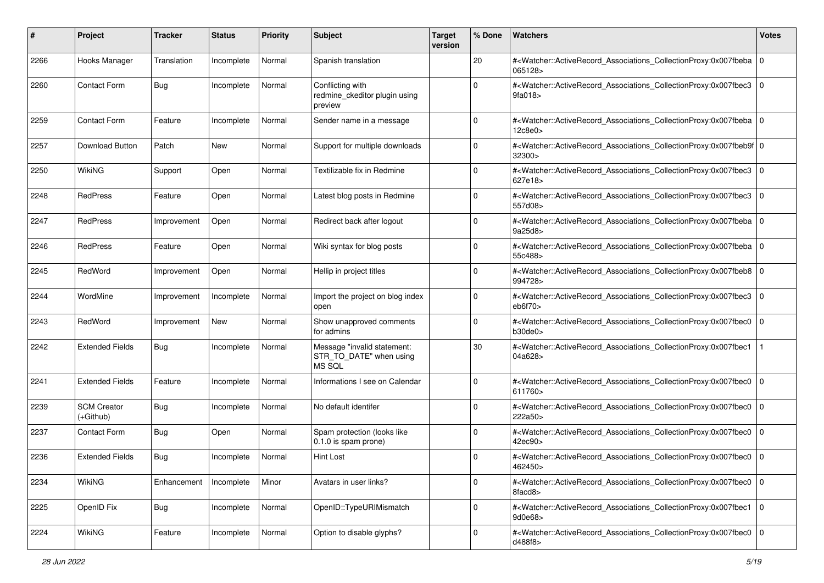| #    | Project                           | <b>Tracker</b> | <b>Status</b> | <b>Priority</b> | <b>Subject</b>                                                   | <b>Target</b><br>version | % Done      | Watchers                                                                                                                                                 | <b>Votes</b> |
|------|-----------------------------------|----------------|---------------|-----------------|------------------------------------------------------------------|--------------------------|-------------|----------------------------------------------------------------------------------------------------------------------------------------------------------|--------------|
| 2266 | Hooks Manager                     | Translation    | Incomplete    | Normal          | Spanish translation                                              |                          | 20          | # <watcher::activerecord_associations_collectionproxy:0x007fbeba<br>065128&gt;</watcher::activerecord_associations_collectionproxy:0x007fbeba<br>        | l O          |
| 2260 | Contact Form                      | <b>Bug</b>     | Incomplete    | Normal          | Conflicting with<br>redmine_ckeditor plugin using<br>preview     |                          | $\Omega$    | # <watcher::activerecord_associations_collectionproxy:0x007fbec3<br>9fa018</watcher::activerecord_associations_collectionproxy:0x007fbec3<br>            | 0            |
| 2259 | <b>Contact Form</b>               | Feature        | Incomplete    | Normal          | Sender name in a message                                         |                          | $\Omega$    | # <watcher::activerecord_associations_collectionproxy:0x007fbeba 0<br="">12c8e0&gt;</watcher::activerecord_associations_collectionproxy:0x007fbeba>      |              |
| 2257 | Download Button                   | Patch          | New           | Normal          | Support for multiple downloads                                   |                          | 0           | # <watcher::activerecord_associations_collectionproxy:0x007fbeb9f 0<br="">32300&gt;</watcher::activerecord_associations_collectionproxy:0x007fbeb9f>     |              |
| 2250 | <b>WikiNG</b>                     | Support        | Open          | Normal          | Textilizable fix in Redmine                                      |                          | 0           | # <watcher::activerecord_associations_collectionproxy:0x007fbec3<br>627e18&gt;</watcher::activerecord_associations_collectionproxy:0x007fbec3<br>        | 0            |
| 2248 | <b>RedPress</b>                   | Feature        | Open          | Normal          | Latest blog posts in Redmine                                     |                          | $\Omega$    | # <watcher::activerecord_associations_collectionproxy:0x007fbec3<br>557d08&gt;</watcher::activerecord_associations_collectionproxy:0x007fbec3<br>        | 0            |
| 2247 | RedPress                          | Improvement    | Open          | Normal          | Redirect back after logout                                       |                          | $\Omega$    | # <watcher::activerecord_associations_collectionproxy:0x007fbeba<br>9a25d8&gt;</watcher::activerecord_associations_collectionproxy:0x007fbeba<br>        | 0            |
| 2246 | RedPress                          | Feature        | Open          | Normal          | Wiki syntax for blog posts                                       |                          | $\Omega$    | # <watcher::activerecord_associations_collectionproxy:0x007fbeba<br>55c488&gt;</watcher::activerecord_associations_collectionproxy:0x007fbeba<br>        | l O          |
| 2245 | RedWord                           | Improvement    | Open          | Normal          | Hellip in project titles                                         |                          | $\mathbf 0$ | # <watcher::activerecord_associations_collectionproxy:0x007fbeb8<br>994728&gt;</watcher::activerecord_associations_collectionproxy:0x007fbeb8<br>        | l O          |
| 2244 | WordMine                          | Improvement    | Incomplete    | Normal          | Import the project on blog index<br>open                         |                          | $\Omega$    | # <watcher::activerecord_associations_collectionproxy:0x007fbec3<br>eb6f70&gt;</watcher::activerecord_associations_collectionproxy:0x007fbec3<br>        | 0            |
| 2243 | RedWord                           | Improvement    | New           | Normal          | Show unapproved comments<br>for admins                           |                          | $\Omega$    | # <watcher::activerecord_associations_collectionproxy:0x007fbec0<br>b30de0</watcher::activerecord_associations_collectionproxy:0x007fbec0<br>            | l 0          |
| 2242 | <b>Extended Fields</b>            | <b>Bug</b>     | Incomplete    | Normal          | Message "invalid statement:<br>STR_TO_DATE" when using<br>MS SQL |                          | 30          | # <watcher::activerecord_associations_collectionproxy:0x007fbec1<br>04a628&gt;</watcher::activerecord_associations_collectionproxy:0x007fbec1<br>        |              |
| 2241 | <b>Extended Fields</b>            | Feature        | Incomplete    | Normal          | Informations I see on Calendar                                   |                          | $\Omega$    | # <watcher::activerecord_associations_collectionproxy:0x007fbec0<br>611760&gt;</watcher::activerecord_associations_collectionproxy:0x007fbec0<br>        | 0            |
| 2239 | <b>SCM Creator</b><br>$(+Github)$ | Bug            | Incomplete    | Normal          | No default identifer                                             |                          | $\Omega$    | # <watcher::activerecord_associations_collectionproxy:0x007fbec0<br>222a50&gt;</watcher::activerecord_associations_collectionproxy:0x007fbec0<br>        | l O          |
| 2237 | Contact Form                      | <b>Bug</b>     | Open          | Normal          | Spam protection (looks like<br>0.1.0 is spam prone)              |                          | $\Omega$    | # <watcher::activerecord_associations_collectionproxy:0x007fbec0<br>42ec90&gt;</watcher::activerecord_associations_collectionproxy:0x007fbec0<br>        | 0            |
| 2236 | <b>Extended Fields</b>            | Bug            | Incomplete    | Normal          | Hint Lost                                                        |                          | $\Omega$    | # <watcher::activerecord_associations_collectionproxy:0x007fbec0 0<br=""  ="">462450&gt;</watcher::activerecord_associations_collectionproxy:0x007fbec0> |              |
| 2234 | WikiNG                            | Enhancement    | Incomplete    | Minor           | Avatars in user links?                                           |                          | 0           | # <watcher::activerecord_associations_collectionproxy:0x007fbec0 0<br=""  ="">8facd8&gt;</watcher::activerecord_associations_collectionproxy:0x007fbec0> |              |
| 2225 | OpenID Fix                        | <b>Bug</b>     | Incomplete    | Normal          | OpenID::TypeURIMismatch                                          |                          | $\mathbf 0$ | # <watcher::activerecord_associations_collectionproxy:0x007fbec1 0<br="">9d0e68&gt;</watcher::activerecord_associations_collectionproxy:0x007fbec1>      |              |
| 2224 | WikiNG                            | Feature        | Incomplete    | Normal          | Option to disable glyphs?                                        |                          | $\mathbf 0$ | # <watcher::activerecord_associations_collectionproxy:0x007fbec0 0<br="">d488f8&gt;</watcher::activerecord_associations_collectionproxy:0x007fbec0>      |              |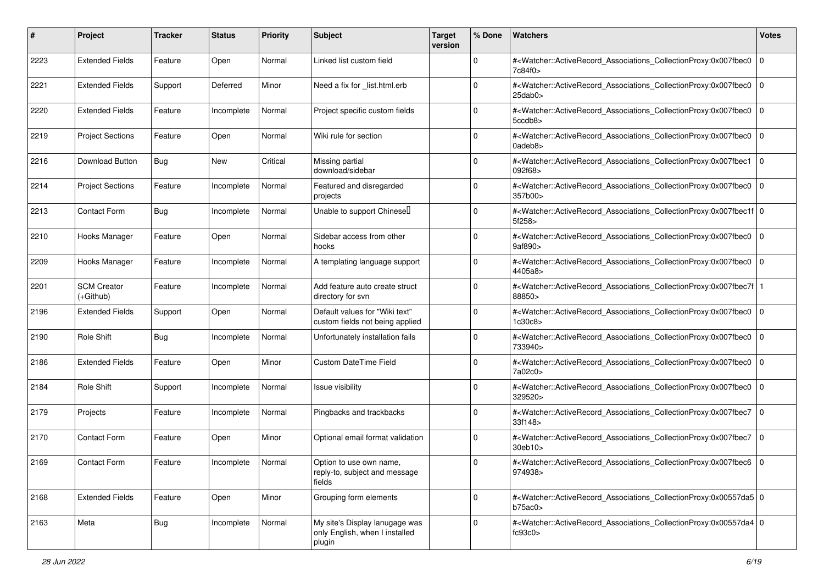| #    | Project                           | Tracker | <b>Status</b> | <b>Priority</b> | <b>Subject</b>                                                             | <b>Target</b><br>version | % Done      | Watchers                                                                                                                                                     | <b>Votes</b>   |
|------|-----------------------------------|---------|---------------|-----------------|----------------------------------------------------------------------------|--------------------------|-------------|--------------------------------------------------------------------------------------------------------------------------------------------------------------|----------------|
| 2223 | <b>Extended Fields</b>            | Feature | Open          | Normal          | Linked list custom field                                                   |                          | 0           | # <watcher::activerecord_associations_collectionproxy:0x007fbec0<br>7c84f0&gt;</watcher::activerecord_associations_collectionproxy:0x007fbec0<br>            | $\mathbf{0}$   |
| 2221 | <b>Extended Fields</b>            | Support | Deferred      | Minor           | Need a fix for list.html.erb                                               |                          | $\Omega$    | # <watcher::activerecord_associations_collectionproxy:0x007fbec0<br>25dab0<sub>&gt;</sub></watcher::activerecord_associations_collectionproxy:0x007fbec0<br> | $\mathbf 0$    |
| 2220 | <b>Extended Fields</b>            | Feature | Incomplete    | Normal          | Project specific custom fields                                             |                          | $\Omega$    | # <watcher::activerecord_associations_collectionproxy:0x007fbec0<br>5ccdb8&gt;</watcher::activerecord_associations_collectionproxy:0x007fbec0<br>            | $\Omega$       |
| 2219 | <b>Project Sections</b>           | Feature | Open          | Normal          | Wiki rule for section                                                      |                          | $\Omega$    | # <watcher::activerecord_associations_collectionproxy:0x007fbec0<br>0adeb8&gt;</watcher::activerecord_associations_collectionproxy:0x007fbec0<br>            | l 0            |
| 2216 | Download Button                   | Bug     | New           | Critical        | Missing partial<br>download/sidebar                                        |                          | $\Omega$    | # <watcher::activerecord associations="" collectionproxy:0x007fbec1<br="">092f68&gt;</watcher::activerecord>                                                 | l O            |
| 2214 | <b>Project Sections</b>           | Feature | Incomplete    | Normal          | Featured and disregarded<br>projects                                       |                          | $\Omega$    | # <watcher::activerecord_associations_collectionproxy:0x007fbec0<br>357b00&gt;</watcher::activerecord_associations_collectionproxy:0x007fbec0<br>            | $\Omega$       |
| 2213 | <b>Contact Form</b>               | Bug     | Incomplete    | Normal          | Unable to support Chinesel                                                 |                          | $\Omega$    | # <watcher::activerecord_associations_collectionproxy:0x007fbec1f 0<br=""  ="">5f258&gt;</watcher::activerecord_associations_collectionproxy:0x007fbec1f>    |                |
| 2210 | Hooks Manager                     | Feature | Open          | Normal          | Sidebar access from other<br>hooks                                         |                          | $\mathbf 0$ | # <watcher::activerecord_associations_collectionproxy:0x007fbec0 0<br="">9af890&gt;</watcher::activerecord_associations_collectionproxy:0x007fbec0>          |                |
| 2209 | Hooks Manager                     | Feature | Incomplete    | Normal          | A templating language support                                              |                          | $\Omega$    | # <watcher::activerecord_associations_collectionproxy:0x007fbec0<br>4405a8&gt;</watcher::activerecord_associations_collectionproxy:0x007fbec0<br>            | $\Omega$       |
| 2201 | <b>SCM Creator</b><br>$(+Github)$ | Feature | Incomplete    | Normal          | Add feature auto create struct<br>directory for svn                        |                          | 0           | # <watcher::activerecord_associations_collectionproxy:0x007fbec7f 1<br=""  ="">88850&gt;</watcher::activerecord_associations_collectionproxy:0x007fbec7f>    |                |
| 2196 | <b>Extended Fields</b>            | Support | Open          | Normal          | Default values for "Wiki text"<br>custom fields not being applied          |                          | $\Omega$    | # <watcher::activerecord_associations_collectionproxy:0x007fbec0<br>1c30c8</watcher::activerecord_associations_collectionproxy:0x007fbec0<br>                | $\mathbf 0$    |
| 2190 | <b>Role Shift</b>                 | Bug     | Incomplete    | Normal          | Unfortunately installation fails                                           |                          | $\mathbf 0$ | # <watcher::activerecord_associations_collectionproxy:0x007fbec0<br>733940&gt;</watcher::activerecord_associations_collectionproxy:0x007fbec0<br>            | l O            |
| 2186 | <b>Extended Fields</b>            | Feature | Open          | Minor           | <b>Custom DateTime Field</b>                                               |                          | $\Omega$    | # <watcher::activerecord_associations_collectionproxy:0x007fbec0<br>7a02c0&gt;</watcher::activerecord_associations_collectionproxy:0x007fbec0<br>            | $\Omega$       |
| 2184 | <b>Role Shift</b>                 | Support | Incomplete    | Normal          | Issue visibility                                                           |                          | $\Omega$    | # <watcher::activerecord_associations_collectionproxy:0x007fbec0<br>329520&gt;</watcher::activerecord_associations_collectionproxy:0x007fbec0<br>            | $\Omega$       |
| 2179 | Projects                          | Feature | Incomplete    | Normal          | Pingbacks and trackbacks                                                   |                          | $\mathbf 0$ | # <watcher::activerecord_associations_collectionproxy:0x007fbec7<br>33f148&gt;</watcher::activerecord_associations_collectionproxy:0x007fbec7<br>            | $\overline{0}$ |
| 2170 | <b>Contact Form</b>               | Feature | Open          | Minor           | Optional email format validation                                           |                          | $\Omega$    | # <watcher::activerecord_associations_collectionproxy:0x007fbec7<br>30eb10</watcher::activerecord_associations_collectionproxy:0x007fbec7<br>                | l O            |
| 2169 | <b>Contact Form</b>               | Feature | Incomplete    | Normal          | Option to use own name,<br>reply-to, subject and message<br>fields         |                          | $\Omega$    | # <watcher::activerecord 0<br="" associations="" collectionproxy:0x007fbec6="">974938&gt;</watcher::activerecord>                                            |                |
| 2168 | <b>Extended Fields</b>            | Feature | Open          | Minor           | Grouping form elements                                                     |                          | $\mathbf 0$ | # <watcher::activerecord_associations_collectionproxy:0x00557da5 0<br="">b75ac0</watcher::activerecord_associations_collectionproxy:0x00557da5>              |                |
| 2163 | Meta                              | Bug     | Incomplete    | Normal          | My site's Display lanugage was<br>only English, when I installed<br>plugin |                          | $\mathbf 0$ | # <watcher::activerecord_associations_collectionproxy:0x00557da4 0<br=""  ="">fc93c0</watcher::activerecord_associations_collectionproxy:0x00557da4>         |                |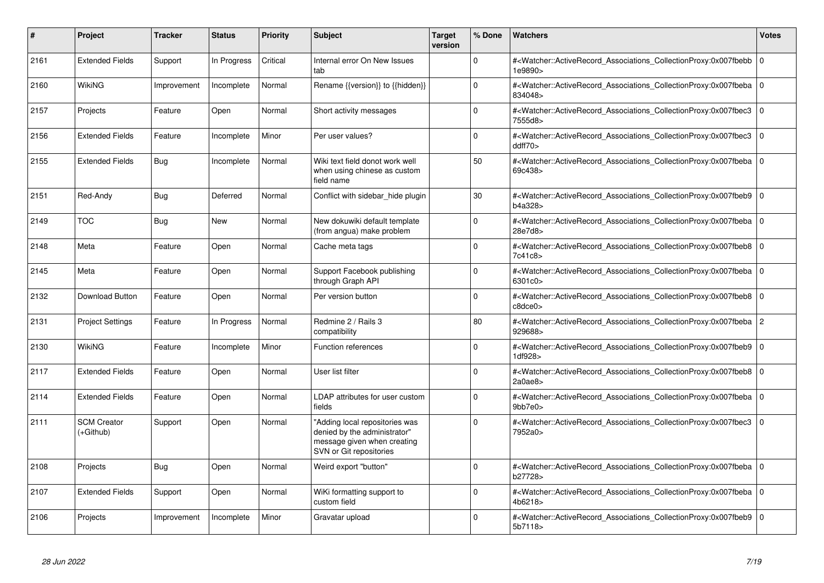| #    | Project                         | Tracker     | <b>Status</b> | <b>Priority</b> | <b>Subject</b>                                                                                                           | <b>Target</b><br>version | % Done       | <b>Watchers</b>                                                                                                                                          | <b>Votes</b>   |
|------|---------------------------------|-------------|---------------|-----------------|--------------------------------------------------------------------------------------------------------------------------|--------------------------|--------------|----------------------------------------------------------------------------------------------------------------------------------------------------------|----------------|
| 2161 | <b>Extended Fields</b>          | Support     | In Progress   | Critical        | Internal error On New Issues<br>tab                                                                                      |                          | $\Omega$     | # <watcher::activerecord_associations_collectionproxy:0x007fbebb<br>1e9890&gt;</watcher::activerecord_associations_collectionproxy:0x007fbebb<br>        | $\mathbf 0$    |
| 2160 | WikiNG                          | Improvement | Incomplete    | Normal          | Rename {{version}} to {{hidden}}                                                                                         |                          | $\Omega$     | # <watcher::activerecord 0<br="" associations="" collectionproxy:0x007fbeba=""  ="">834048&gt;</watcher::activerecord>                                   |                |
| 2157 | Projects                        | Feature     | Open          | Normal          | Short activity messages                                                                                                  |                          | $\mathbf 0$  | # <watcher::activerecord associations="" collectionproxy:0x007fbec3<br="">7555d8&gt;</watcher::activerecord>                                             | l 0            |
| 2156 | <b>Extended Fields</b>          | Feature     | Incomplete    | Minor           | Per user values?                                                                                                         |                          | $\Omega$     | # <watcher::activerecord associations="" collectionproxy:0x007fbec3<br="">ddff70</watcher::activerecord>                                                 | l O            |
| 2155 | <b>Extended Fields</b>          | Bug         | Incomplete    | Normal          | Wiki text field donot work well<br>when using chinese as custom<br>field name                                            |                          | 50           | # <watcher::activerecord 0<br="" associations="" collectionproxy:0x007fbeba=""  ="">69c438&gt;</watcher::activerecord>                                   |                |
| 2151 | Red-Andy                        | Bug         | Deferred      | Normal          | Conflict with sidebar_hide plugin                                                                                        |                          | 30           | # <watcher::activerecord_associations_collectionproxy:0x007fbeb9<br>b4a328&gt;</watcher::activerecord_associations_collectionproxy:0x007fbeb9<br>        | l 0            |
| 2149 | <b>TOC</b>                      | Bug         | New           | Normal          | New dokuwiki default template<br>(from angua) make problem                                                               |                          | $\mathbf 0$  | # <watcher::activerecord_associations_collectionproxy:0x007fbeba 0<br=""  ="">28e7d8&gt;</watcher::activerecord_associations_collectionproxy:0x007fbeba> |                |
| 2148 | Meta                            | Feature     | Open          | Normal          | Cache meta tags                                                                                                          |                          | $\Omega$     | # <watcher::activerecord associations="" collectionproxy:0x007fbeb8<br="">7c41c8&gt;</watcher::activerecord>                                             | $\mathbf 0$    |
| 2145 | Meta                            | Feature     | Open          | Normal          | Support Facebook publishing<br>through Graph API                                                                         |                          | $\mathbf{0}$ | # <watcher::activerecord_associations_collectionproxy:0x007fbeba 0<br="">6301c0&gt;</watcher::activerecord_associations_collectionproxy:0x007fbeba>      |                |
| 2132 | Download Button                 | Feature     | Open          | Normal          | Per version button                                                                                                       |                          | $\mathbf 0$  | # <watcher::activerecord associations="" collectionproxy:0x007fbeb8<br="">c8dce0&gt;</watcher::activerecord>                                             | l 0            |
| 2131 | <b>Project Settings</b>         | Feature     | In Progress   | Normal          | Redmine 2 / Rails 3<br>compatibility                                                                                     |                          | 80           | # <watcher::activerecord associations="" collectionproxy:0x007fbeba<br="">929688&gt;</watcher::activerecord>                                             | $\overline{2}$ |
| 2130 | WikiNG                          | Feature     | Incomplete    | Minor           | <b>Function references</b>                                                                                               |                          | $\Omega$     | # <watcher::activerecord 0<br="" associations="" collectionproxy:0x007fbeb9=""  ="">1<sub>d</sub>928<sub>&gt;</sub></watcher::activerecord>              |                |
| 2117 | <b>Extended Fields</b>          | Feature     | Open          | Normal          | User list filter                                                                                                         |                          | $\Omega$     | # <watcher::activerecord associations="" collectionproxy:0x007fbeb8<br="">2a0ae8</watcher::activerecord>                                                 | $\Omega$       |
| 2114 | <b>Extended Fields</b>          | Feature     | Open          | Normal          | LDAP attributes for user custom<br>fields                                                                                |                          | $\Omega$     | # <watcher::activerecord 0<br="" associations="" collectionproxy:0x007fbeba=""  ="">9bb7e0</watcher::activerecord>                                       |                |
| 2111 | <b>SCM Creator</b><br>(+Github) | Support     | Open          | Normal          | 'Adding local repositories was<br>denied by the administrator"<br>message given when creating<br>SVN or Git repositories |                          | $\Omega$     | # <watcher::activerecord_associations_collectionproxy:0x007fbec3<br>7952a0&gt;</watcher::activerecord_associations_collectionproxy:0x007fbec3<br>        | l 0            |
| 2108 | Projects                        | Bug         | Open          | Normal          | Weird export "button"                                                                                                    |                          | $\Omega$     | # <watcher::activerecord_associations_collectionproxy:0x007fbeba<br>b27728&gt;</watcher::activerecord_associations_collectionproxy:0x007fbeba<br>        | $\Omega$       |
| 2107 | <b>Extended Fields</b>          | Support     | Open          | Normal          | WiKi formatting support to<br>custom field                                                                               |                          | $\Omega$     | # <watcher::activerecord_associations_collectionproxy:0x007fbeba 0<br=""  ="">4b6218&gt;</watcher::activerecord_associations_collectionproxy:0x007fbeba> |                |
| 2106 | Projects                        | Improvement | Incomplete    | Minor           | Gravatar upload                                                                                                          |                          | $\Omega$     | # <watcher::activerecord_associations_collectionproxy:0x007fbeb9<br>5b7118&gt;</watcher::activerecord_associations_collectionproxy:0x007fbeb9<br>        | $\Omega$       |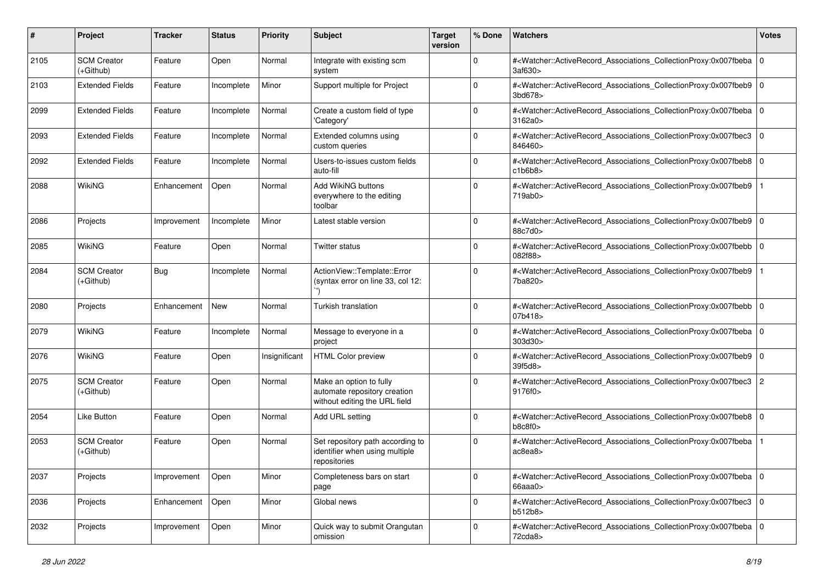| #    | Project                           | Tracker     | <b>Status</b> | <b>Priority</b> | <b>Subject</b>                                                                           | <b>Target</b><br>version | % Done      | Watchers                                                                                                                                                 | <b>Votes</b>   |
|------|-----------------------------------|-------------|---------------|-----------------|------------------------------------------------------------------------------------------|--------------------------|-------------|----------------------------------------------------------------------------------------------------------------------------------------------------------|----------------|
| 2105 | <b>SCM Creator</b><br>$(+Github)$ | Feature     | Open          | Normal          | Integrate with existing scm<br>system                                                    |                          | $\Omega$    | # <watcher::activerecord_associations_collectionproxy:0x007fbeba 0<br="">3af630&gt;</watcher::activerecord_associations_collectionproxy:0x007fbeba>      |                |
| 2103 | <b>Extended Fields</b>            | Feature     | Incomplete    | Minor           | Support multiple for Project                                                             |                          | $\Omega$    | # <watcher::activerecord_associations_collectionproxy:0x007fbeb9  <br="">3bd678</watcher::activerecord_associations_collectionproxy:0x007fbeb9>          | $\mathbf 0$    |
| 2099 | <b>Extended Fields</b>            | Feature     | Incomplete    | Normal          | Create a custom field of type<br>'Category'                                              |                          | $\Omega$    | # <watcher::activerecord_associations_collectionproxy:0x007fbeba 0<br="">3162a0</watcher::activerecord_associations_collectionproxy:0x007fbeba>          |                |
| 2093 | <b>Extended Fields</b>            | Feature     | Incomplete    | Normal          | Extended columns using<br>custom queries                                                 |                          | $\Omega$    | # <watcher::activerecord_associations_collectionproxy:0x007fbec3 0<br="">846460&gt;</watcher::activerecord_associations_collectionproxy:0x007fbec3>      |                |
| 2092 | <b>Extended Fields</b>            | Feature     | Incomplete    | Normal          | Users-to-issues custom fields<br>auto-fill                                               |                          | $\Omega$    | # <watcher::activerecord 0<br="" associations="" collectionproxy:0x007fbeb8="">c1b6b8</watcher::activerecord>                                            |                |
| 2088 | WikiNG                            | Enhancement | Open          | Normal          | Add WikiNG buttons<br>everywhere to the editing<br>toolbar                               |                          | $\Omega$    | # <watcher::activerecord_associations_collectionproxy:0x007fbeb9<br>719ab0&gt;</watcher::activerecord_associations_collectionproxy:0x007fbeb9<br>        |                |
| 2086 | Projects                          | Improvement | Incomplete    | Minor           | Latest stable version                                                                    |                          | $\Omega$    | # <watcher::activerecord_associations_collectionproxy:0x007fbeb9 0<br="">88c7d0&gt;</watcher::activerecord_associations_collectionproxy:0x007fbeb9>      |                |
| 2085 | WikiNG                            | Feature     | Open          | Normal          | <b>Twitter status</b>                                                                    |                          | $\Omega$    | # <watcher::activerecord_associations_collectionproxy:0x007fbebb  <br="">082f88&gt;</watcher::activerecord_associations_collectionproxy:0x007fbebb>      | $\mathbf 0$    |
| 2084 | <b>SCM Creator</b><br>$(+Github)$ | Bug         | Incomplete    | Normal          | ActionView::Template::Error<br>(syntax error on line 33, col 12:                         |                          | $\Omega$    | # <watcher::activerecord_associations_collectionproxy:0x007fbeb9<br>7ba820&gt;</watcher::activerecord_associations_collectionproxy:0x007fbeb9<br>        |                |
| 2080 | Projects                          | Enhancement | <b>New</b>    | Normal          | Turkish translation                                                                      |                          | $\Omega$    | # <watcher::activerecord_associations_collectionproxy:0x007fbebb  <br="">07b418&gt;</watcher::activerecord_associations_collectionproxy:0x007fbebb>      | $\mathbf 0$    |
| 2079 | WikiNG                            | Feature     | Incomplete    | Normal          | Message to everyone in a<br>project                                                      |                          | $\Omega$    | # <watcher::activerecord_associations_collectionproxy:0x007fbeba 0<br=""  ="">303d30&gt;</watcher::activerecord_associations_collectionproxy:0x007fbeba> |                |
| 2076 | <b>WikiNG</b>                     | Feature     | Open          | Insignificant   | <b>HTML Color preview</b>                                                                |                          | $\Omega$    | # <watcher::activerecord_associations_collectionproxy:0x007fbeb9  <br="">39f5d8&gt;</watcher::activerecord_associations_collectionproxy:0x007fbeb9>      | $\mathbf 0$    |
| 2075 | <b>SCM Creator</b><br>$(+Github)$ | Feature     | Open          | Normal          | Make an option to fully<br>automate repository creation<br>without editing the URL field |                          | $\Omega$    | # <watcher::activerecord_associations_collectionproxy:0x007fbec3  <br="">9176f0&gt;</watcher::activerecord_associations_collectionproxy:0x007fbec3>      | $\overline{c}$ |
| 2054 | <b>Like Button</b>                | Feature     | Open          | Normal          | Add URL setting                                                                          |                          | $\Omega$    | # <watcher::activerecord_associations_collectionproxy:0x007fbeb8 0<br="">b8c8f0</watcher::activerecord_associations_collectionproxy:0x007fbeb8>          |                |
| 2053 | <b>SCM Creator</b><br>$(+Github)$ | Feature     | Open          | Normal          | Set repository path according to<br>identifier when using multiple<br>repositories       |                          | $\Omega$    | # <watcher::activerecord_associations_collectionproxy:0x007fbeba<br>ac8ea8&gt;</watcher::activerecord_associations_collectionproxy:0x007fbeba<br>        |                |
| 2037 | Projects                          | Improvement | Open          | Minor           | Completeness bars on start<br>page                                                       |                          | 0           | # <watcher::activerecord_associations_collectionproxy:0x007fbeba 0<br=""  ="">66aaa0</watcher::activerecord_associations_collectionproxy:0x007fbeba>     |                |
| 2036 | Projects                          | Enhancement | Open          | Minor           | Global news                                                                              |                          | $\mathbf 0$ | # <watcher::activerecord_associations_collectionproxy:0x007fbec3 0<br="">b512b8</watcher::activerecord_associations_collectionproxy:0x007fbec3>          |                |
| 2032 | Projects                          | Improvement | Open          | Minor           | Quick way to submit Orangutan<br>omission                                                |                          | 0           | # <watcher::activerecord 0<br="" associations="" collectionproxy:0x007fbeba="">72cda8&gt;</watcher::activerecord>                                        |                |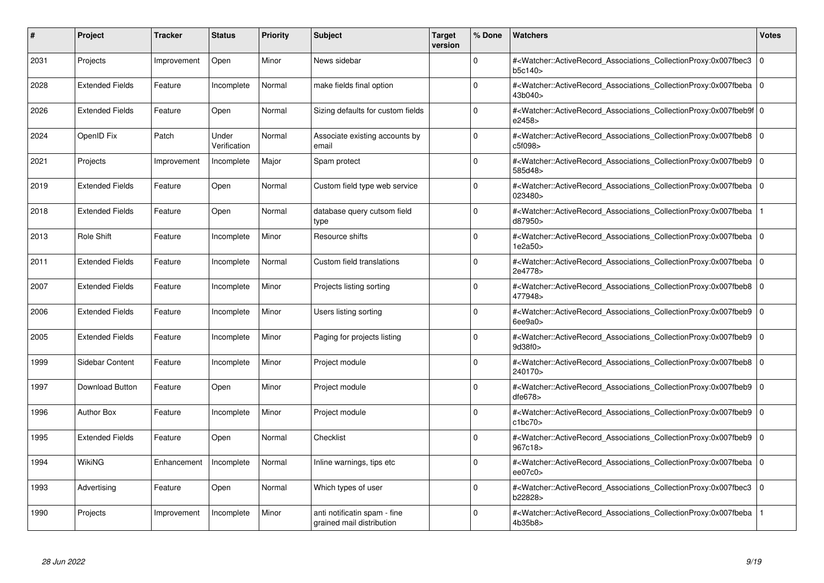| #    | Project                | Tracker     | <b>Status</b>         | <b>Priority</b> | <b>Subject</b>                                            | <b>Target</b><br>version | % Done   | <b>Watchers</b>                                                                                                                                          | <b>Votes</b> |
|------|------------------------|-------------|-----------------------|-----------------|-----------------------------------------------------------|--------------------------|----------|----------------------------------------------------------------------------------------------------------------------------------------------------------|--------------|
| 2031 | Projects               | Improvement | Open                  | Minor           | News sidebar                                              |                          | $\Omega$ | # <watcher::activerecord associations="" collectionproxy:0x007fbec3<br="">b5c140&gt;</watcher::activerecord>                                             | $\mathbf 0$  |
| 2028 | <b>Extended Fields</b> | Feature     | Incomplete            | Normal          | make fields final option                                  |                          | $\Omega$ | # <watcher::activerecord 0<br="" associations="" collectionproxy:0x007fbeba=""  ="">43b040&gt;</watcher::activerecord>                                   |              |
| 2026 | <b>Extended Fields</b> | Feature     | Open                  | Normal          | Sizing defaults for custom fields                         |                          | $\Omega$ | # <watcher::activerecord_associations_collectionproxy:0x007fbeb9f 0<br="">e2458&gt;</watcher::activerecord_associations_collectionproxy:0x007fbeb9f>     |              |
| 2024 | OpenID Fix             | Patch       | Under<br>Verification | Normal          | Associate existing accounts by<br>email                   |                          | $\Omega$ | # <watcher::activerecord_associations_collectionproxy:0x007fbeb8 0<br="">c5f098</watcher::activerecord_associations_collectionproxy:0x007fbeb8>          |              |
| 2021 | Projects               | Improvement | Incomplete            | Major           | Spam protect                                              |                          | $\Omega$ | # <watcher::activerecord_associations_collectionproxy:0x007fbeb9<br>585d48&gt;</watcher::activerecord_associations_collectionproxy:0x007fbeb9<br>        | $\mathbf 0$  |
| 2019 | <b>Extended Fields</b> | Feature     | Open                  | Normal          | Custom field type web service                             |                          | $\Omega$ | # <watcher::activerecord_associations_collectionproxy:0x007fbeba 0<br=""  ="">023480&gt;</watcher::activerecord_associations_collectionproxy:0x007fbeba> |              |
| 2018 | <b>Extended Fields</b> | Feature     | Open                  | Normal          | database query cutsom field<br>type                       |                          | $\Omega$ | # <watcher::activerecord associations="" collectionproxy:0x007fbeba<br="">d87950&gt;</watcher::activerecord>                                             |              |
| 2013 | <b>Role Shift</b>      | Feature     | Incomplete            | Minor           | Resource shifts                                           |                          | $\Omega$ | # <watcher::activerecord_associations_collectionproxy:0x007fbeba 0<br=""  ="">1e2a50&gt;</watcher::activerecord_associations_collectionproxy:0x007fbeba> |              |
| 2011 | <b>Extended Fields</b> | Feature     | Incomplete            | Normal          | Custom field translations                                 |                          | $\Omega$ | # <watcher::activerecord associations="" collectionproxy:0x007fbeba<br="">2e4778&gt;</watcher::activerecord>                                             | $\mathbf 0$  |
| 2007 | <b>Extended Fields</b> | Feature     | Incomplete            | Minor           | Projects listing sorting                                  |                          | $\Omega$ | # <watcher::activerecord associations="" collectionproxy:0x007fbeb8=""  <br="">477948&gt;</watcher::activerecord>                                        | $\mathbf 0$  |
| 2006 | <b>Extended Fields</b> | Feature     | Incomplete            | Minor           | Users listing sorting                                     |                          | $\Omega$ | # <watcher::activerecord_associations_collectionproxy:0x007fbeb9 0<br=""  ="">6ee9a0&gt;</watcher::activerecord_associations_collectionproxy:0x007fbeb9> |              |
| 2005 | <b>Extended Fields</b> | Feature     | Incomplete            | Minor           | Paging for projects listing                               |                          | $\Omega$ | # <watcher::activerecord associations="" collectionproxy:0x007fbeb9=""  <br="">9d38f0&gt;</watcher::activerecord>                                        | $\mathbf 0$  |
| 1999 | Sidebar Content        | Feature     | Incomplete            | Minor           | Project module                                            |                          | $\Omega$ | # <watcher::activerecord 0<br="" associations="" collectionproxy:0x007fbeb8="">240170&gt;</watcher::activerecord>                                        |              |
| 1997 | Download Button        | Feature     | Open                  | Minor           | Project module                                            |                          | $\Omega$ | # <watcher::activerecord_associations_collectionproxy:0x007fbeb9<br>dfe678</watcher::activerecord_associations_collectionproxy:0x007fbeb9<br>            | $\Omega$     |
| 1996 | <b>Author Box</b>      | Feature     | Incomplete            | Minor           | Project module                                            |                          | $\Omega$ | # <watcher::activerecord associations="" collectionproxy:0x007fbeb9=""  <br="">c1bc70</watcher::activerecord>                                            | $\mathbf 0$  |
| 1995 | <b>Extended Fields</b> | Feature     | Open                  | Normal          | Checklist                                                 |                          | $\Omega$ | # <watcher::activerecord_associations_collectionproxy:0x007fbeb9  <br="">967c18&gt;</watcher::activerecord_associations_collectionproxy:0x007fbeb9>      | $\mathbf 0$  |
| 1994 | WikiNG                 | Enhancement | Incomplete            | Normal          | Inline warnings, tips etc                                 |                          | $\Omega$ | # <watcher::activerecord_associations_collectionproxy:0x007fbeba  <br="">ee07c0&gt;</watcher::activerecord_associations_collectionproxy:0x007fbeba>      | $\mathbf 0$  |
| 1993 | Advertising            | Feature     | Open                  | Normal          | Which types of user                                       |                          | $\Omega$ | # <watcher::activerecord associations="" collectionproxy:0x007fbec3<br="">b22828&gt;</watcher::activerecord>                                             | $\mathbf{0}$ |
| 1990 | Projects               | Improvement | Incomplete            | Minor           | anti notificatin spam - fine<br>grained mail distribution |                          | $\Omega$ | # <watcher::activerecord associations="" collectionproxy:0x007fbeba<br="">4b35b8&gt;</watcher::activerecord>                                             |              |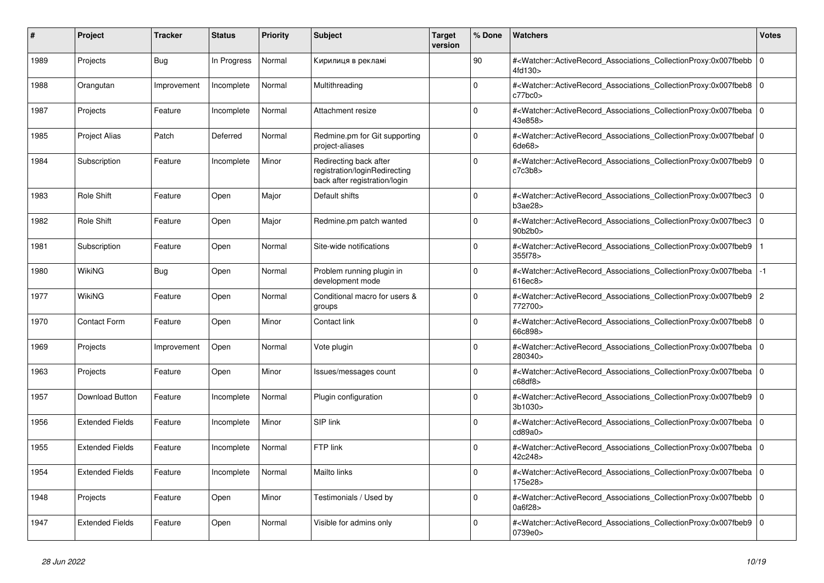| #    | Project                | <b>Tracker</b> | <b>Status</b> | <b>Priority</b> | <b>Subject</b>                                                                           | <b>Target</b><br>version | % Done      | <b>Watchers</b>                                                                                                                                           | <b>Votes</b>   |
|------|------------------------|----------------|---------------|-----------------|------------------------------------------------------------------------------------------|--------------------------|-------------|-----------------------------------------------------------------------------------------------------------------------------------------------------------|----------------|
| 1989 | Projects               | Bug            | In Progress   | Normal          | Кирилиця в рекламі                                                                       |                          | 90          | # <watcher::activerecord_associations_collectionproxy:0x007fbebb<br>4fd130&gt;</watcher::activerecord_associations_collectionproxy:0x007fbebb<br>         | $\mathbf 0$    |
| 1988 | Orangutan              | Improvement    | Incomplete    | Normal          | Multithreading                                                                           |                          | $\Omega$    | # <watcher::activerecord_associations_collectionproxy:0x007fbeb8  <br="">c77bc0</watcher::activerecord_associations_collectionproxy:0x007fbeb8>           | $\Omega$       |
| 1987 | Projects               | Feature        | Incomplete    | Normal          | Attachment resize                                                                        |                          | $\Omega$    | # <watcher::activerecord_associations_collectionproxy:0x007fbeba 0<br=""  ="">43e858&gt;</watcher::activerecord_associations_collectionproxy:0x007fbeba>  |                |
| 1985 | <b>Project Alias</b>   | Patch          | Deferred      | Normal          | Redmine.pm for Git supporting<br>project-aliases                                         |                          | $\Omega$    | # <watcher::activerecord_associations_collectionproxy:0x007fbebaf 0<br=""  ="">6de68&gt;</watcher::activerecord_associations_collectionproxy:0x007fbebaf> |                |
| 1984 | Subscription           | Feature        | Incomplete    | Minor           | Redirecting back after<br>registration/loginRedirecting<br>back after registration/login |                          | $\Omega$    | # <watcher::activerecord associations="" collectionproxy:0x007fbeb9<br="">c7c3b8</watcher::activerecord>                                                  | $\mathbf 0$    |
| 1983 | Role Shift             | Feature        | Open          | Major           | Default shifts                                                                           |                          | $\Omega$    | # <watcher::activerecord 0<br="" associations="" collectionproxy:0x007fbec3=""  ="">b3ae28</watcher::activerecord>                                        |                |
| 1982 | <b>Role Shift</b>      | Feature        | Open          | Major           | Redmine.pm patch wanted                                                                  |                          | $\Omega$    | # <watcher::activerecord associations="" collectionproxy:0x007fbec3<br="">90b2b0&gt;</watcher::activerecord>                                              | $\mathbf 0$    |
| 1981 | Subscription           | Feature        | Open          | Normal          | Site-wide notifications                                                                  |                          | $\Omega$    | # <watcher::activerecord_associations_collectionproxy:0x007fbeb9<br>355f78&gt;</watcher::activerecord_associations_collectionproxy:0x007fbeb9<br>         |                |
| 1980 | WikiNG                 | <b>Bug</b>     | Open          | Normal          | Problem running plugin in<br>development mode                                            |                          | $\Omega$    | # <watcher::activerecord_associations_collectionproxy:0x007fbeba<br>616ec8</watcher::activerecord_associations_collectionproxy:0x007fbeba<br>             | $-1$           |
| 1977 | <b>WikiNG</b>          | Feature        | Open          | Normal          | Conditional macro for users &<br>groups                                                  |                          | $\Omega$    | # <watcher::activerecord_associations_collectionproxy:0x007fbeb9<br>772700&gt;</watcher::activerecord_associations_collectionproxy:0x007fbeb9<br>         | $\overline{c}$ |
| 1970 | <b>Contact Form</b>    | Feature        | Open          | Minor           | Contact link                                                                             |                          | $\Omega$    | # <watcher::activerecord_associations_collectionproxy:0x007fbeb8  <br="">66c898&gt;</watcher::activerecord_associations_collectionproxy:0x007fbeb8>       | $\mathbf 0$    |
| 1969 | Projects               | Improvement    | Open          | Normal          | Vote plugin                                                                              |                          | $\Omega$    | # <watcher::activerecord associations="" collectionproxy:0x007fbeba<br="">280340&gt;</watcher::activerecord>                                              | $\mathbf 0$    |
| 1963 | Projects               | Feature        | Open          | Minor           | Issues/messages count                                                                    |                          | $\Omega$    | # <watcher::activerecord_associations_collectionproxy:0x007fbeba  <br="">c68df8</watcher::activerecord_associations_collectionproxy:0x007fbeba>           | $\mathbf 0$    |
| 1957 | <b>Download Button</b> | Feature        | Incomplete    | Normal          | Plugin configuration                                                                     |                          | $\Omega$    | # <watcher::activerecord_associations_collectionproxy:0x007fbeb9  <br="">3b1030&gt;</watcher::activerecord_associations_collectionproxy:0x007fbeb9>       | $\Omega$       |
| 1956 | <b>Extended Fields</b> | Feature        | Incomplete    | Minor           | SIP link                                                                                 |                          | $\Omega$    | # <watcher::activerecord 0<br="" associations="" collectionproxy:0x007fbeba=""  ="">cd89a0</watcher::activerecord>                                        |                |
| 1955 | <b>Extended Fields</b> | Feature        | Incomplete    | Normal          | FTP link                                                                                 |                          | $\mathbf 0$ | # <watcher::activerecord associations="" collectionproxy:0x007fbeba<br="">42c248&gt;</watcher::activerecord>                                              | $\mathbf 0$    |
| 1954 | <b>Extended Fields</b> | Feature        | Incomplete    | Normal          | Mailto links                                                                             |                          | $\Omega$    | # <watcher::activerecord_associations_collectionproxy:0x007fbeba 0<br=""  ="">175e28&gt;</watcher::activerecord_associations_collectionproxy:0x007fbeba>  |                |
| 1948 | Projects               | Feature        | Open          | Minor           | Testimonials / Used by                                                                   |                          | $\Omega$    | # <watcher::activerecord_associations_collectionproxy:0x007fbebb<br>0a6f28&gt;</watcher::activerecord_associations_collectionproxy:0x007fbebb<br>         | $\mathbf 0$    |
| 1947 | <b>Extended Fields</b> | Feature        | Open          | Normal          | Visible for admins only                                                                  |                          | $\Omega$    | # <watcher::activerecord associations="" collectionproxy:0x007fbeb9<br="">0739e0&gt;</watcher::activerecord>                                              | $\Omega$       |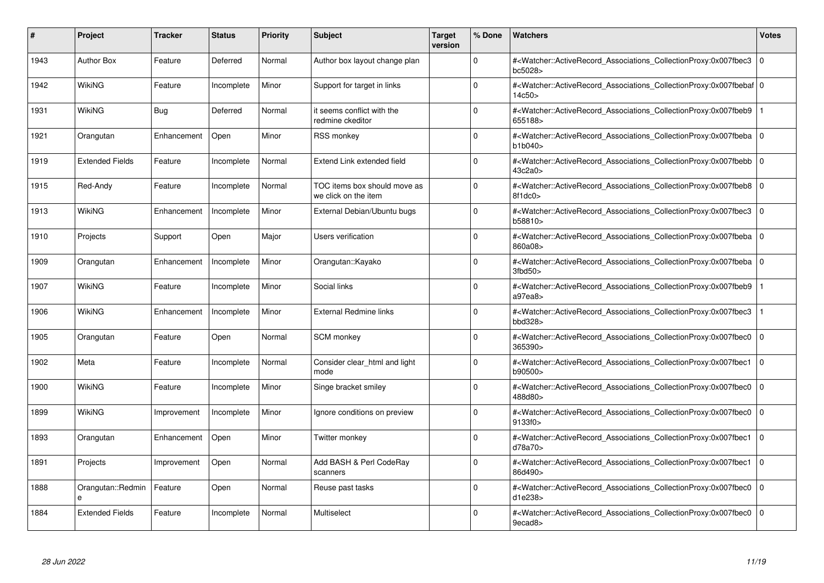| #    | Project                | <b>Tracker</b> | <b>Status</b> | <b>Priority</b> | <b>Subject</b>                                       | <b>Target</b><br>version | % Done   | <b>Watchers</b>                                                                                                                                          | <b>Votes</b> |
|------|------------------------|----------------|---------------|-----------------|------------------------------------------------------|--------------------------|----------|----------------------------------------------------------------------------------------------------------------------------------------------------------|--------------|
| 1943 | <b>Author Box</b>      | Feature        | Deferred      | Normal          | Author box layout change plan                        |                          | $\Omega$ | # <watcher::activerecord associations="" collectionproxy:0x007fbec3<br="">bc5028&gt;</watcher::activerecord>                                             | $\mathbf 0$  |
| 1942 | WikiNG                 | Feature        | Incomplete    | Minor           | Support for target in links                          |                          | $\Omega$ | # <watcher::activerecord 0<br="" associations="" collectionproxy:0x007fbebaf=""  ="">14c50 &gt;</watcher::activerecord>                                  |              |
| 1931 | <b>WikiNG</b>          | Bug            | Deferred      | Normal          | it seems conflict with the<br>redmine ckeditor       |                          | $\Omega$ | # <watcher::activerecord associations="" collectionproxy:0x007fbeb9<br="">655188&gt;</watcher::activerecord>                                             |              |
| 1921 | Orangutan              | Enhancement    | Open          | Minor           | RSS monkey                                           |                          | $\Omega$ | # <watcher::activerecord 0<br="" associations="" collectionproxy:0x007fbeba=""  ="">b1b040</watcher::activerecord>                                       |              |
| 1919 | <b>Extended Fields</b> | Feature        | Incomplete    | Normal          | Extend Link extended field                           |                          | $\Omega$ | # <watcher::activerecord_associations_collectionproxy:0x007fbebb  <br="">43c2a0&gt;</watcher::activerecord_associations_collectionproxy:0x007fbebb>      | $\Omega$     |
| 1915 | Red-Andy               | Feature        | Incomplete    | Normal          | TOC items box should move as<br>we click on the item |                          | $\Omega$ | # <watcher::activerecord associations="" collectionproxy:0x007fbeb8<br="">8f1dc0</watcher::activerecord>                                                 | $\Omega$     |
| 1913 | <b>WikiNG</b>          | Enhancement    | Incomplete    | Minor           | External Debian/Ubuntu bugs                          |                          | $\Omega$ | # <watcher::activerecord associations="" collectionproxy:0x007fbec3<br="">b58810&gt;</watcher::activerecord>                                             | $\mathbf 0$  |
| 1910 | Projects               | Support        | Open          | Major           | Users verification                                   |                          | $\Omega$ | # <watcher::activerecord_associations_collectionproxy:0x007fbeba 0<br=""  ="">860a08&gt;</watcher::activerecord_associations_collectionproxy:0x007fbeba> |              |
| 1909 | Orangutan              | Enhancement    | Incomplete    | Minor           | Orangutan::Kayako                                    |                          | $\Omega$ | # <watcher::activerecord associations="" collectionproxy:0x007fbeba<br="">3fbd50</watcher::activerecord>                                                 | $\mathbf 0$  |
| 1907 | WikiNG                 | Feature        | Incomplete    | Minor           | Social links                                         |                          | $\Omega$ | # <watcher::activerecord associations="" collectionproxy:0x007fbeb9<br="">a97ea8&gt;</watcher::activerecord>                                             |              |
| 1906 | <b>WikiNG</b>          | Enhancement    | Incomplete    | Minor           | <b>External Redmine links</b>                        |                          | $\Omega$ | # <watcher::activerecord associations="" collectionproxy:0x007fbec3<br="">bbd328&gt;</watcher::activerecord>                                             |              |
| 1905 | Orangutan              | Feature        | Open          | Normal          | <b>SCM</b> monkey                                    |                          | $\Omega$ | # <watcher::activerecord associations="" collectionproxy:0x007fbec0<br="">365390&gt;</watcher::activerecord>                                             | $\mathbf 0$  |
| 1902 | Meta                   | Feature        | Incomplete    | Normal          | Consider clear html and light<br>mode                |                          | $\Omega$ | # <watcher::activerecord associations="" collectionproxy:0x007fbec1<br="">b90500&gt;</watcher::activerecord>                                             | $\mathbf 0$  |
| 1900 | WikiNG                 | Feature        | Incomplete    | Minor           | Singe bracket smiley                                 |                          | $\Omega$ | # <watcher::activerecord_associations_collectionproxy:0x007fbec0<br>488d80&gt;</watcher::activerecord_associations_collectionproxy:0x007fbec0<br>        | $\Omega$     |
| 1899 | WikiNG                 | Improvement    | Incomplete    | Minor           | Ignore conditions on preview                         |                          | $\Omega$ | # <watcher::activerecord associations="" collectionproxy:0x007fbec0<br="">9133f0&gt;</watcher::activerecord>                                             | $\mathbf 0$  |
| 1893 | Orangutan              | Enhancement    | Open          | Minor           | Twitter monkey                                       |                          | $\Omega$ | # <watcher::activerecord_associations_collectionproxy:0x007fbec1<br>d78a70&gt;</watcher::activerecord_associations_collectionproxy:0x007fbec1<br>        | $\mathbf 0$  |
| 1891 | Projects               | Improvement    | Open          | Normal          | Add BASH & Perl CodeRay<br>scanners                  |                          | $\Omega$ | # <watcher::activerecord associations="" collectionproxy:0x007fbec1<br="">86d490&gt;</watcher::activerecord>                                             | $\Omega$     |
| 1888 | Orangutan::Redmin<br>e | Feature        | Open          | Normal          | Reuse past tasks                                     |                          | $\Omega$ | # <watcher::activerecord associations="" collectionproxy:0x007fbec0<br="">d1e238&gt;</watcher::activerecord>                                             | $\mathbf 0$  |
| 1884 | <b>Extended Fields</b> | Feature        | Incomplete    | Normal          | Multiselect                                          |                          | $\Omega$ | # <watcher::activerecord_associations_collectionproxy:0x007fbec0 0<br=""  ="">9ecad8&gt;</watcher::activerecord_associations_collectionproxy:0x007fbec0> |              |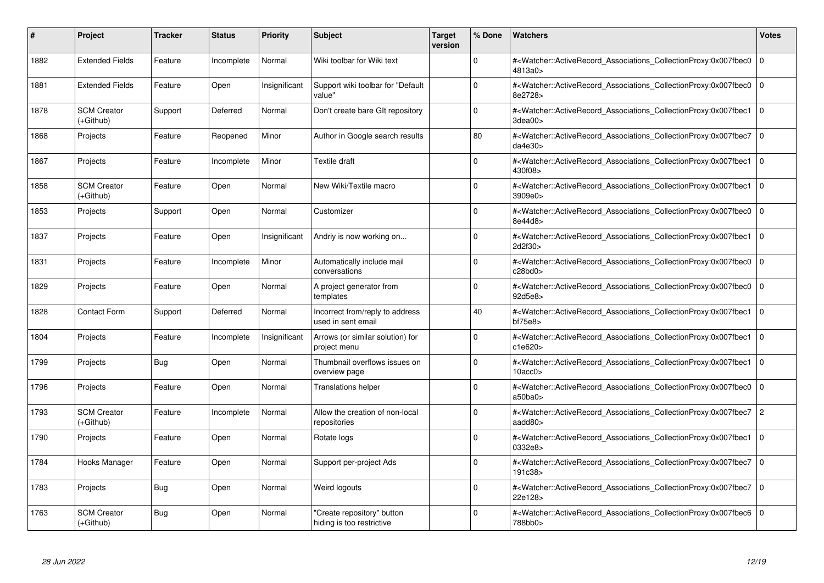| #    | Project                           | <b>Tracker</b> | <b>Status</b> | <b>Priority</b> | <b>Subject</b>                                          | <b>Target</b><br>version | % Done   | <b>Watchers</b>                                                                                                                                          | <b>Votes</b>   |
|------|-----------------------------------|----------------|---------------|-----------------|---------------------------------------------------------|--------------------------|----------|----------------------------------------------------------------------------------------------------------------------------------------------------------|----------------|
| 1882 | <b>Extended Fields</b>            | Feature        | Incomplete    | Normal          | Wiki toolbar for Wiki text                              |                          | $\Omega$ | # <watcher::activerecord associations="" collectionproxy:0x007fbec0<br="">4813a0&gt;</watcher::activerecord>                                             | $\mathbf 0$    |
| 1881 | <b>Extended Fields</b>            | Feature        | Open          | Insignificant   | Support wiki toolbar for "Default<br>value"             |                          | $\Omega$ | # <watcher::activerecord associations="" collectionproxy:0x007fbec0<br="">8e2728&gt;</watcher::activerecord>                                             | $\mathbf 0$    |
| 1878 | <b>SCM Creator</b><br>(+Github)   | Support        | Deferred      | Normal          | Don't create bare GIt repository                        |                          | $\Omega$ | # <watcher::activerecord_associations_collectionproxy:0x007fbec1<br>3dea00&gt;</watcher::activerecord_associations_collectionproxy:0x007fbec1<br>        | $\Omega$       |
| 1868 | Projects                          | Feature        | Reopened      | Minor           | Author in Google search results                         |                          | 80       | # <watcher::activerecord 0<br="" associations="" collectionproxy:0x007fbec7=""  ="">da4e30&gt;</watcher::activerecord>                                   |                |
| 1867 | Projects                          | Feature        | Incomplete    | Minor           | <b>Textile draft</b>                                    |                          | $\Omega$ | # <watcher::activerecord_associations_collectionproxy:0x007fbec1<br>430f08&gt;</watcher::activerecord_associations_collectionproxy:0x007fbec1<br>        | $\Omega$       |
| 1858 | <b>SCM Creator</b><br>(+Github)   | Feature        | Open          | Normal          | New Wiki/Textile macro                                  |                          | $\Omega$ | # <watcher::activerecord_associations_collectionproxy:0x007fbec1<br>3909e0&gt;</watcher::activerecord_associations_collectionproxy:0x007fbec1<br>        | $\Omega$       |
| 1853 | Projects                          | Support        | Open          | Normal          | Customizer                                              |                          | $\Omega$ | # <watcher::activerecord associations="" collectionproxy:0x007fbec0<br="">8e44d8&gt;</watcher::activerecord>                                             | $\mathbf 0$    |
| 1837 | Projects                          | Feature        | Open          | Insignificant   | Andriy is now working on                                |                          | $\Omega$ | # <watcher::activerecord_associations_collectionproxy:0x007fbec1<br>2d2f30&gt;</watcher::activerecord_associations_collectionproxy:0x007fbec1<br>        | $\Omega$       |
| 1831 | Projects                          | Feature        | Incomplete    | Minor           | Automatically include mail<br>conversations             |                          | $\Omega$ | # <watcher::activerecord associations="" collectionproxy:0x007fbec0<br="">c28bd0&gt;</watcher::activerecord>                                             | $\mathbf 0$    |
| 1829 | Projects                          | Feature        | Open          | Normal          | A project generator from<br>templates                   |                          | $\Omega$ | # <watcher::activerecord associations="" collectionproxy:0x007fbec0<br="">92d5e8&gt;</watcher::activerecord>                                             | $\mathbf 0$    |
| 1828 | <b>Contact Form</b>               | Support        | Deferred      | Normal          | Incorrect from/reply to address<br>used in sent email   |                          | 40       | # <watcher::activerecord_associations_collectionproxy:0x007fbec1<br>bf75e8</watcher::activerecord_associations_collectionproxy:0x007fbec1<br>            | $\mathbf 0$    |
| 1804 | Projects                          | Feature        | Incomplete    | Insignificant   | Arrows (or similar solution) for<br>project menu        |                          | $\Omega$ | # <watcher::activerecord associations="" collectionproxy:0x007fbec1<br="">c1e620&gt;</watcher::activerecord>                                             | $\mathbf 0$    |
| 1799 | Projects                          | <b>Bug</b>     | Open          | Normal          | Thumbnail overflows issues on<br>overview page          |                          | $\Omega$ | # <watcher::activerecord associations="" collectionproxy:0x007fbec1<br="">10acc0</watcher::activerecord>                                                 | $\mathbf 0$    |
| 1796 | Projects                          | Feature        | Open          | Normal          | <b>Translations helper</b>                              |                          | $\Omega$ | # <watcher::activerecord_associations_collectionproxy:0x007fbec0<br>a50ba0&gt;</watcher::activerecord_associations_collectionproxy:0x007fbec0<br>        | $\Omega$       |
| 1793 | <b>SCM Creator</b><br>(+Github)   | Feature        | Incomplete    | Normal          | Allow the creation of non-local<br>repositories         |                          | $\Omega$ | # <watcher::activerecord associations="" collectionproxy:0x007fbec7<br="">aadd80&gt;</watcher::activerecord>                                             | $\overline{c}$ |
| 1790 | Projects                          | Feature        | Open          | Normal          | Rotate logs                                             |                          | $\Omega$ | # <watcher::activerecord_associations_collectionproxy:0x007fbec1<br>0332e8&gt;</watcher::activerecord_associations_collectionproxy:0x007fbec1<br>        | $\mathbf 0$    |
| 1784 | Hooks Manager                     | Feature        | Open          | Normal          | Support per-project Ads                                 |                          | $\Omega$ | # <watcher::activerecord associations="" collectionproxy:0x007fbec7<br="">191c38&gt;</watcher::activerecord>                                             | $\mathbf 0$    |
| 1783 | Projects                          | <b>Bug</b>     | Open          | Normal          | Weird logouts                                           |                          | $\Omega$ | # <watcher::activerecord associations="" collectionproxy:0x007fbec7<br="">22e128&gt;</watcher::activerecord>                                             | $\mathbf{0}$   |
| 1763 | <b>SCM Creator</b><br>$(+Github)$ | <b>Bug</b>     | Open          | Normal          | 'Create repository" button<br>hiding is too restrictive |                          | $\Omega$ | # <watcher::activerecord_associations_collectionproxy:0x007fbec6 0<br=""  ="">788bb0&gt;</watcher::activerecord_associations_collectionproxy:0x007fbec6> |                |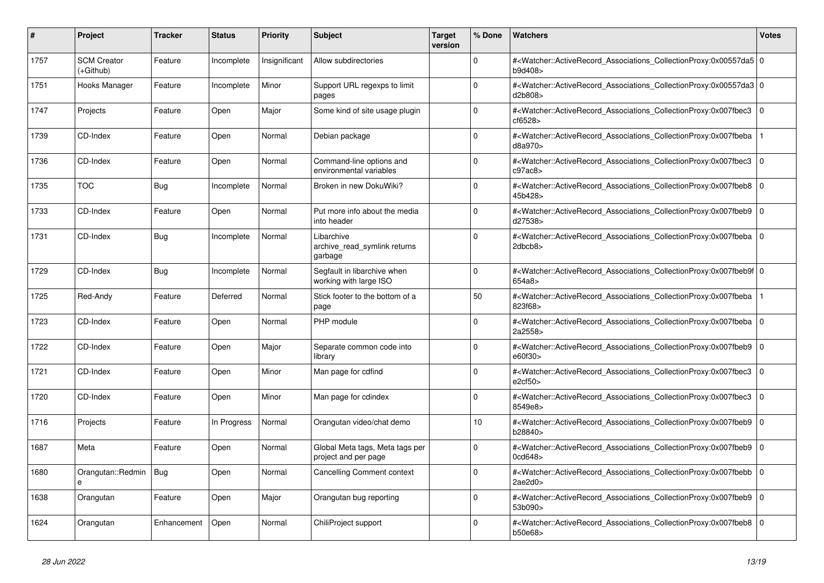| #    | <b>Project</b>                    | Tracker     | <b>Status</b> | <b>Priority</b> | <b>Subject</b>                                          | <b>Target</b><br>version | % Done   | <b>Watchers</b>                                                                                                                                          | <b>Votes</b> |
|------|-----------------------------------|-------------|---------------|-----------------|---------------------------------------------------------|--------------------------|----------|----------------------------------------------------------------------------------------------------------------------------------------------------------|--------------|
| 1757 | <b>SCM Creator</b><br>$(+Github)$ | Feature     | Incomplete    | Insignificant   | Allow subdirectories                                    |                          | $\Omega$ | # <watcher::activerecord_associations_collectionproxy:0x00557da5 0<br=""  ="">b9d408&gt;</watcher::activerecord_associations_collectionproxy:0x00557da5> |              |
| 1751 | Hooks Manager                     | Feature     | Incomplete    | Minor           | Support URL regexps to limit<br>pages                   |                          | $\Omega$ | # <watcher::activerecord 0<br="" associations="" collectionproxy:0x00557da3=""  ="">d2b808&gt;</watcher::activerecord>                                   |              |
| 1747 | Projects                          | Feature     | Open          | Major           | Some kind of site usage plugin                          |                          | $\Omega$ | # <watcher::activerecord 0<br="" associations="" collectionproxy:0x007fbec3=""  ="">cf6528&gt;</watcher::activerecord>                                   |              |
| 1739 | CD-Index                          | Feature     | Open          | Normal          | Debian package                                          |                          | $\Omega$ | # <watcher::activerecord_associations_collectionproxy:0x007fbeba<br>d8a970&gt;</watcher::activerecord_associations_collectionproxy:0x007fbeba<br>        |              |
| 1736 | CD-Index                          | Feature     | Open          | Normal          | Command-line options and<br>environmental variables     |                          | $\Omega$ | # <watcher::activerecord associations="" collectionproxy:0x007fbec3<br="">c97ac8</watcher::activerecord>                                                 | $\Omega$     |
| 1735 | <b>TOC</b>                        | Bug         | Incomplete    | Normal          | Broken in new DokuWiki?                                 |                          | $\Omega$ | # <watcher::activerecord 0<br="" associations="" collectionproxy:0x007fbeb8="">45b428&gt;</watcher::activerecord>                                        |              |
| 1733 | CD-Index                          | Feature     | Open          | Normal          | Put more info about the media<br>into header            |                          | $\Omega$ | # <watcher::activerecord associations="" collectionproxy:0x007fbeb9<br="">d27538&gt;</watcher::activerecord>                                             | $\mathbf 0$  |
| 1731 | CD-Index                          | Bug         | Incomplete    | Normal          | Libarchive<br>archive read symlink returns<br>garbage   |                          | $\Omega$ | # <watcher::activerecord_associations_collectionproxy:0x007fbeba 0<br=""  ="">2dbcb8&gt;</watcher::activerecord_associations_collectionproxy:0x007fbeba> |              |
| 1729 | CD-Index                          | Bug         | Incomplete    | Normal          | Segfault in libarchive when<br>working with large ISO   |                          | $\Omega$ | # <watcher::activerecord 0<br="" associations="" collectionproxy:0x007fbeb9f=""  ="">654a8</watcher::activerecord>                                       |              |
| 1725 | Red-Andy                          | Feature     | Deferred      | Normal          | Stick footer to the bottom of a<br>page                 |                          | 50       | # <watcher::activerecord associations="" collectionproxy:0x007fbeba<br="">823f68&gt;</watcher::activerecord>                                             |              |
| 1723 | CD-Index                          | Feature     | Open          | Normal          | PHP module                                              |                          | $\Omega$ | # <watcher::activerecord associations="" collectionproxy:0x007fbeba<br="">2a2558&gt;</watcher::activerecord>                                             | $\mathbf 0$  |
| 1722 | CD-Index                          | Feature     | Open          | Major           | Separate common code into<br>library                    |                          | $\Omega$ | # <watcher::activerecord associations="" collectionproxy:0x007fbeb9<br="">e60f30&gt;</watcher::activerecord>                                             | $\mathbf 0$  |
| 1721 | CD-Index                          | Feature     | Open          | Minor           | Man page for cdfind                                     |                          | $\Omega$ | # <watcher::activerecord_associations_collectionproxy:0x007fbec3<br>e2cf50</watcher::activerecord_associations_collectionproxy:0x007fbec3<br>            | $\Omega$     |
| 1720 | CD-Index                          | Feature     | Open          | Minor           | Man page for cdindex                                    |                          | $\Omega$ | # <watcher::activerecord associations="" collectionproxy:0x007fbec3<br="">8549e8&gt;</watcher::activerecord>                                             | $\mathbf 0$  |
| 1716 | Projects                          | Feature     | In Progress   | Normal          | Orangutan video/chat demo                               |                          | 10       | # <watcher::activerecord associations="" collectionproxy:0x007fbeb9<br="">b28840&gt;</watcher::activerecord>                                             | $\mathbf 0$  |
| 1687 | Meta                              | Feature     | Open          | Normal          | Global Meta tags, Meta tags per<br>project and per page |                          | $\Omega$ | # <watcher::activerecord_associations_collectionproxy:0x007fbeb9<br>0cd648</watcher::activerecord_associations_collectionproxy:0x007fbeb9<br>            | $\Omega$     |
| 1680 | Orangutan::Redmin<br>$\mathbf{a}$ | Bug         | Open          | Normal          | Cancelling Comment context                              |                          | $\Omega$ | # <watcher::activerecord associations="" collectionproxy:0x007fbebb=""  <br="">2ae2d0</watcher::activerecord>                                            | $\mathbf 0$  |
| 1638 | Orangutan                         | Feature     | Open          | Major           | Orangutan bug reporting                                 |                          | $\Omega$ | # <watcher::activerecord_associations_collectionproxy:0x007fbeb9<br>53b090&gt;</watcher::activerecord_associations_collectionproxy:0x007fbeb9<br>        | $\mathbf 0$  |
| 1624 | Orangutan                         | Enhancement | Open          | Normal          | ChiliProject support                                    |                          | $\Omega$ | # <watcher::activerecord_associations_collectionproxy:0x007fbeb8<br>b50e68&gt;</watcher::activerecord_associations_collectionproxy:0x007fbeb8<br>        | $\Omega$     |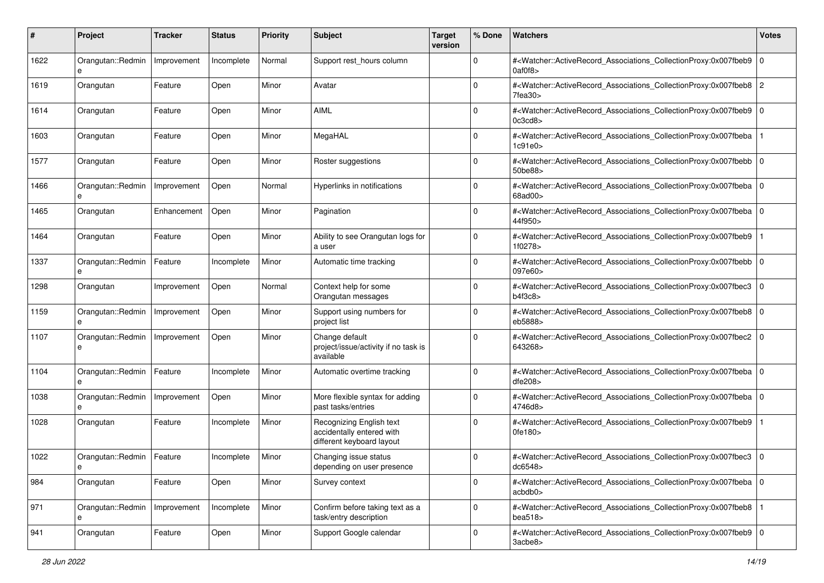| #    | Project                | Tracker     | <b>Status</b> | <b>Priority</b> | <b>Subject</b>                                                                     | <b>Target</b><br>version | % Done      | Watchers                                                                                                                                                     | <b>Votes</b>   |
|------|------------------------|-------------|---------------|-----------------|------------------------------------------------------------------------------------|--------------------------|-------------|--------------------------------------------------------------------------------------------------------------------------------------------------------------|----------------|
| 1622 | Orangutan::Redmin<br>e | Improvement | Incomplete    | Normal          | Support rest_hours column                                                          |                          | $\mathbf 0$ | # <watcher::activerecord_associations_collectionproxy:0x007fbeb9<br>0a0f8</watcher::activerecord_associations_collectionproxy:0x007fbeb9<br>                 | $\mathbf{0}$   |
| 1619 | Orangutan              | Feature     | Open          | Minor           | Avatar                                                                             |                          | $\Omega$    | # <watcher::activerecord_associations_collectionproxy:0x007fbeb8  <br="">7fea30</watcher::activerecord_associations_collectionproxy:0x007fbeb8>              | $\overline{c}$ |
| 1614 | Orangutan              | Feature     | Open          | Minor           | <b>AIML</b>                                                                        |                          | $\Omega$    | # <watcher::activerecord_associations_collectionproxy:0x007fbeb9 0<br="">0c3cd8</watcher::activerecord_associations_collectionproxy:0x007fbeb9>              |                |
| 1603 | Orangutan              | Feature     | Open          | Minor           | MegaHAL                                                                            |                          | $\mathbf 0$ | # <watcher::activerecord_associations_collectionproxy:0x007fbeba<br>1c91e0&gt;</watcher::activerecord_associations_collectionproxy:0x007fbeba<br>            |                |
| 1577 | Orangutan              | Feature     | Open          | Minor           | Roster suggestions                                                                 |                          | $\Omega$    | # <watcher::activerecord_associations_collectionproxy:0x007fbebb 0<br=""  ="">50be88&gt;</watcher::activerecord_associations_collectionproxy:0x007fbebb>     |                |
| 1466 | Orangutan::Redmin      | Improvement | Open          | Normal          | Hyperlinks in notifications                                                        |                          | $\Omega$    | # <watcher::activerecord_associations_collectionproxy:0x007fbeba 0<br="">68ad00&gt;</watcher::activerecord_associations_collectionproxy:0x007fbeba>          |                |
| 1465 | Orangutan              | Enhancement | Open          | Minor           | Pagination                                                                         |                          | $\Omega$    | # <watcher::activerecord_associations_collectionproxy:0x007fbeba  <br="">44f950&gt;</watcher::activerecord_associations_collectionproxy:0x007fbeba>          | $\mathbf 0$    |
| 1464 | Orangutan              | Feature     | Open          | Minor           | Ability to see Orangutan logs for<br>a user                                        |                          | $\mathbf 0$ | # <watcher::activerecord_associations_collectionproxy:0x007fbeb9<br>1f0278&gt;</watcher::activerecord_associations_collectionproxy:0x007fbeb9<br>            |                |
| 1337 | Orangutan::Redmin<br>e | Feature     | Incomplete    | Minor           | Automatic time tracking                                                            |                          | $\Omega$    | # <watcher::activerecord_associations_collectionproxy:0x007fbebb  <br="">097e60&gt;</watcher::activerecord_associations_collectionproxy:0x007fbebb>          | 0              |
| 1298 | Orangutan              | Improvement | Open          | Normal          | Context help for some<br>Orangutan messages                                        |                          | $\Omega$    | # <watcher::activerecord_associations_collectionproxy:0x007fbec3<br>b4f3c8</watcher::activerecord_associations_collectionproxy:0x007fbec3<br>                | 0              |
| 1159 | Orangutan::Redmin<br>e | Improvement | Open          | Minor           | Support using numbers for<br>project list                                          |                          | $\Omega$    | # <watcher::activerecord_associations_collectionproxy:0x007fbeb8  <br="">eb5888&gt;</watcher::activerecord_associations_collectionproxy:0x007fbeb8>          | $\mathbf 0$    |
| 1107 | Orangutan::Redmin<br>e | Improvement | Open          | Minor           | Change default<br>project/issue/activity if no task is<br>available                |                          | $\Omega$    | # <watcher::activerecord_associations_collectionproxy:0x007fbec2 0<br="">643268&gt;</watcher::activerecord_associations_collectionproxy:0x007fbec2>          |                |
| 1104 | Orangutan::Redmin<br>e | Feature     | Incomplete    | Minor           | Automatic overtime tracking                                                        |                          | $\Omega$    | # <watcher::activerecord_associations_collectionproxy:0x007fbeba 0<br=""  ="">dfe208</watcher::activerecord_associations_collectionproxy:0x007fbeba>         |                |
| 1038 | Orangutan::Redmin      | Improvement | Open          | Minor           | More flexible syntax for adding<br>past tasks/entries                              |                          | $\Omega$    | # <watcher::activerecord_associations_collectionproxy:0x007fbeba 0<br="">4746d8&gt;</watcher::activerecord_associations_collectionproxy:0x007fbeba>          |                |
| 1028 | Orangutan              | Feature     | Incomplete    | Minor           | Recognizing English text<br>accidentally entered with<br>different keyboard layout |                          | $\Omega$    | # <watcher::activerecord_associations_collectionproxy:0x007fbeb9<br>0fe180</watcher::activerecord_associations_collectionproxy:0x007fbeb9<br>                |                |
| 1022 | Orangutan::Redmin      | Feature     | Incomplete    | Minor           | Changing issue status<br>depending on user presence                                |                          | $\Omega$    | # <watcher::activerecord_associations_collectionproxy:0x007fbec3 0<br="">dc6548&gt;</watcher::activerecord_associations_collectionproxy:0x007fbec3>          |                |
| 984  | Orangutan              | Feature     | Open          | Minor           | Survey context                                                                     |                          | 0           | # <watcher::activerecord_associations_collectionproxy:0x007fbeba 0<br="">acbdb0&gt;</watcher::activerecord_associations_collectionproxy:0x007fbeba>          |                |
| 971  | Orangutan::Redmin<br>e | Improvement | Incomplete    | Minor           | Confirm before taking text as a<br>task/entry description                          |                          | $\mathbf 0$ | # <watcher::activerecord_associations_collectionproxy:0x007fbeb8  <br="">bea<math>518</math></watcher::activerecord_associations_collectionproxy:0x007fbeb8> |                |
| 941  | Orangutan              | Feature     | Open          | Minor           | Support Google calendar                                                            |                          | 0           | # <watcher::activerecord_associations_collectionproxy:0x007fbeb9 0<br=""  ="">3acbe8&gt;</watcher::activerecord_associations_collectionproxy:0x007fbeb9>     |                |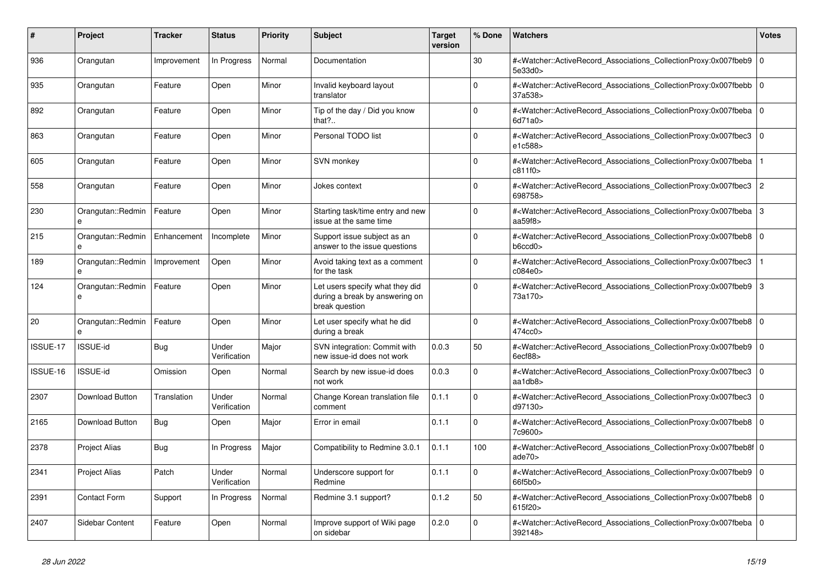| #        | <b>Project</b>                    | Tracker     | <b>Status</b>         | <b>Priority</b> | <b>Subject</b>                                                                      | <b>Target</b><br>version | % Done   | <b>Watchers</b>                                                                                                                                            | <b>Votes</b> |
|----------|-----------------------------------|-------------|-----------------------|-----------------|-------------------------------------------------------------------------------------|--------------------------|----------|------------------------------------------------------------------------------------------------------------------------------------------------------------|--------------|
| 936      | Orangutan                         | Improvement | In Progress           | Normal          | Documentation                                                                       |                          | 30       | # <watcher::activerecord_associations_collectionproxy:0x007fbeb9  <br="">5e33d0&gt;</watcher::activerecord_associations_collectionproxy:0x007fbeb9>        | $\mathbf 0$  |
| 935      | Orangutan                         | Feature     | Open                  | Minor           | Invalid keyboard layout<br>translator                                               |                          | $\Omega$ | # <watcher::activerecord associations="" collectionproxy:0x007fbebb<br="">37a538&gt;</watcher::activerecord>                                               | $\Omega$     |
| 892      | Orangutan                         | Feature     | Open                  | Minor           | Tip of the day / Did you know<br>that?                                              |                          | $\Omega$ | # <watcher::activerecord 0<br="" associations="" collectionproxy:0x007fbeba=""  ="">6d71a0</watcher::activerecord>                                         |              |
| 863      | Orangutan                         | Feature     | Open                  | Minor           | Personal TODO list                                                                  |                          | $\Omega$ | # <watcher::activerecord_associations_collectionproxy:0x007fbec3<br>e1c588&gt;</watcher::activerecord_associations_collectionproxy:0x007fbec3<br>          | $\mathbf 0$  |
| 605      | Orangutan                         | Feature     | Open                  | Minor           | SVN monkey                                                                          |                          | $\Omega$ | # <watcher::activerecord associations="" collectionproxy:0x007fbeba<br="">c811f0&gt;</watcher::activerecord>                                               |              |
| 558      | Orangutan                         | Feature     | Open                  | Minor           | Jokes context                                                                       |                          | $\Omega$ | # <watcher::activerecord_associations_collectionproxy:0x007fbec3 2<br="">698758&gt;</watcher::activerecord_associations_collectionproxy:0x007fbec3>        |              |
| 230      | Orangutan::Redmin<br>$\mathbf{a}$ | Feature     | Open                  | Minor           | Starting task/time entry and new<br>issue at the same time                          |                          | $\Omega$ | # <watcher::activerecord_associations_collectionproxy:0x007fbeba<br>aa<math>59f8</math></watcher::activerecord_associations_collectionproxy:0x007fbeba<br> | 3            |
| 215      | Orangutan::Redmin<br>e            | Enhancement | Incomplete            | Minor           | Support issue subject as an<br>answer to the issue questions                        |                          | $\Omega$ | # <watcher::activerecord_associations_collectionproxy:0x007fbeb8 0<br=""  ="">b6ccd0</watcher::activerecord_associations_collectionproxy:0x007fbeb8>       |              |
| 189      | Orangutan::Redmin<br>e            | Improvement | Open                  | Minor           | Avoid taking text as a comment<br>for the task                                      |                          | $\Omega$ | # <watcher::activerecord_associations_collectionproxy:0x007fbec3<br>c084e0&gt;</watcher::activerecord_associations_collectionproxy:0x007fbec3<br>          |              |
| 124      | Orangutan::Redmin<br>$\mathbf{a}$ | Feature     | Open                  | Minor           | Let users specify what they did<br>during a break by answering on<br>break question |                          | $\Omega$ | # <watcher::activerecord associations="" collectionproxy:0x007fbeb9<br="">73a170&gt;</watcher::activerecord>                                               | 3            |
| 20       | Orangutan::Redmin                 | Feature     | Open                  | Minor           | Let user specify what he did<br>during a break                                      |                          | $\Omega$ | # <watcher::activerecord associations="" collectionproxy:0x007fbeb8<br="">474cc0&gt;</watcher::activerecord>                                               | $\mathbf 0$  |
| ISSUE-17 | ISSUE-id                          | Bug         | Under<br>Verification | Major           | SVN integration: Commit with<br>new issue-id does not work                          | 0.0.3                    | 50       | # <watcher::activerecord_associations_collectionproxy:0x007fbeb9  <br="">6ecf88</watcher::activerecord_associations_collectionproxy:0x007fbeb9>            | $\Omega$     |
| ISSUE-16 | <b>ISSUE-id</b>                   | Omission    | Open                  | Normal          | Search by new issue-id does<br>not work                                             | 0.0.3                    | $\Omega$ | # <watcher::activerecord associations="" collectionproxy:0x007fbec3<br="">aa1db8&gt;</watcher::activerecord>                                               | $\mathbf{0}$ |
| 2307     | Download Button                   | Translation | Under<br>Verification | Normal          | Change Korean translation file<br>comment                                           | 0.1.1                    | $\Omega$ | # <watcher::activerecord associations="" collectionproxy:0x007fbec3<br="">d97130&gt;</watcher::activerecord>                                               | $\mathbf 0$  |
| 2165     | Download Button                   | Bug         | Open                  | Major           | Error in email                                                                      | 0.1.1                    | $\Omega$ | # <watcher::activerecord 0<br="" associations="" collectionproxy:0x007fbeb8="">7c9600&gt;</watcher::activerecord>                                          |              |
| 2378     | <b>Project Alias</b>              | Bug         | In Progress           | Major           | Compatibility to Redmine 3.0.1                                                      | 0.1.1                    | 100      | # <watcher::activerecord 0<br="" associations="" collectionproxy:0x007fbeb8f=""  ="">ade<math>70&gt;</math></watcher::activerecord>                        |              |
| 2341     | <b>Project Alias</b>              | Patch       | Under<br>Verification | Normal          | Underscore support for<br>Redmine                                                   | 0.1.1                    | $\Omega$ | # <watcher::activerecord_associations_collectionproxy:0x007fbeb9  <br="">66f5b0&gt;</watcher::activerecord_associations_collectionproxy:0x007fbeb9>        | $\mathbf 0$  |
| 2391     | <b>Contact Form</b>               | Support     | In Progress           | Normal          | Redmine 3.1 support?                                                                | 0.1.2                    | 50       | # <watcher::activerecord 0<br="" associations="" collectionproxy:0x007fbeb8=""  ="">615f20&gt;</watcher::activerecord>                                     |              |
| 2407     | Sidebar Content                   | Feature     | Open                  | Normal          | Improve support of Wiki page<br>on sidebar                                          | 0.2.0                    | $\Omega$ | # <watcher::activerecord_associations_collectionproxy:0x007fbeba<br>392148&gt;</watcher::activerecord_associations_collectionproxy:0x007fbeba<br>          | $\mathbf 0$  |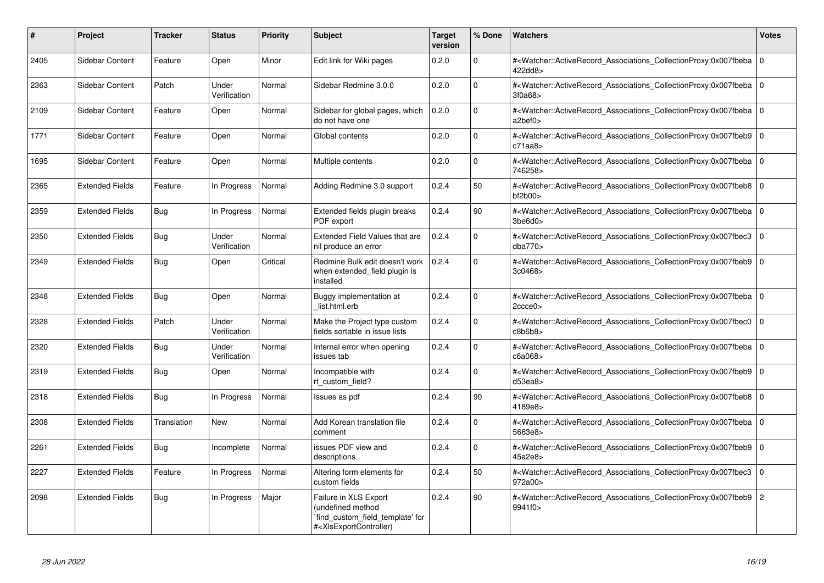| #    | <b>Project</b>         | <b>Tracker</b> | <b>Status</b>         | <b>Priority</b> | <b>Subject</b>                                                                                                                                                                                                                                                                                                                       | <b>Target</b><br>version | % Done       | Watchers                                                                                                                                             | <b>Votes</b> |
|------|------------------------|----------------|-----------------------|-----------------|--------------------------------------------------------------------------------------------------------------------------------------------------------------------------------------------------------------------------------------------------------------------------------------------------------------------------------------|--------------------------|--------------|------------------------------------------------------------------------------------------------------------------------------------------------------|--------------|
| 2405 | Sidebar Content        | Feature        | Open                  | Minor           | Edit link for Wiki pages                                                                                                                                                                                                                                                                                                             | 0.2.0                    | $\Omega$     | # <watcher::activerecord associations="" collectionproxy:0x007fbeba<br="">422dd8&gt;</watcher::activerecord>                                         | $\mathbf 0$  |
| 2363 | Sidebar Content        | Patch          | Under<br>Verification | Normal          | Sidebar Redmine 3.0.0                                                                                                                                                                                                                                                                                                                | 0.2.0                    | $\Omega$     | # <watcher::activerecord associations="" collectionproxy:0x007fbeba<br="">3f0a68&gt;</watcher::activerecord>                                         | $\Omega$     |
| 2109 | Sidebar Content        | Feature        | Open                  | Normal          | Sidebar for global pages, which<br>do not have one                                                                                                                                                                                                                                                                                   | 0.2.0                    | $\Omega$     | # <watcher::activerecord_associations_collectionproxy:0x007fbeba<br>a2bef0&gt;</watcher::activerecord_associations_collectionproxy:0x007fbeba<br>    | l O          |
| 1771 | <b>Sidebar Content</b> | Feature        | Open                  | Normal          | Global contents                                                                                                                                                                                                                                                                                                                      | 0.2.0                    | 0            | # <watcher::activerecord_associations_collectionproxy:0x007fbeb9<br>c71aa8</watcher::activerecord_associations_collectionproxy:0x007fbeb9<br>        | $\mathbf 0$  |
| 1695 | Sidebar Content        | Feature        | Open                  | Normal          | Multiple contents                                                                                                                                                                                                                                                                                                                    | 0.2.0                    | $\mathbf{0}$ | # <watcher::activerecord_associations_collectionproxy:0x007fbeba<br>746258&gt;</watcher::activerecord_associations_collectionproxy:0x007fbeba<br>    | l o          |
| 2365 | <b>Extended Fields</b> | Feature        | In Progress           | Normal          | Adding Redmine 3.0 support                                                                                                                                                                                                                                                                                                           | 0.2.4                    | 50           | # <watcher::activerecord associations="" collectionproxy:0x007fbeb8<br="">bf2b00&gt;</watcher::activerecord>                                         | $\Omega$     |
| 2359 | <b>Extended Fields</b> | Bug            | In Progress           | Normal          | Extended fields plugin breaks<br>PDF export                                                                                                                                                                                                                                                                                          | 0.2.4                    | 90           | # <watcher::activerecord associations="" collectionproxy:0x007fbeba<br="">3be6d0</watcher::activerecord>                                             | $\Omega$     |
| 2350 | <b>Extended Fields</b> | <b>Bug</b>     | Under<br>Verification | Normal          | Extended Field Values that are<br>nil produce an error                                                                                                                                                                                                                                                                               | 0.2.4                    | $\Omega$     | # <watcher::activerecord_associations_collectionproxy:0x007fbec3<br>dba770&gt;</watcher::activerecord_associations_collectionproxy:0x007fbec3<br>    | $\Omega$     |
| 2349 | <b>Extended Fields</b> | Bug            | Open                  | Critical        | Redmine Bulk edit doesn't work<br>when extended field plugin is<br>installed                                                                                                                                                                                                                                                         | 0.2.4                    | $\Omega$     | # <watcher::activerecord_associations_collectionproxy:0x007fbeb9<br>3c0468&gt;</watcher::activerecord_associations_collectionproxy:0x007fbeb9<br>    | l O          |
| 2348 | <b>Extended Fields</b> | <b>Bug</b>     | Open                  | Normal          | Buggy implementation at<br>list.html.erb                                                                                                                                                                                                                                                                                             | 0.2.4                    | $\Omega$     | # <watcher::activerecord_associations_collectionproxy:0x007fbeba 0<br=""  ="">2ccce0</watcher::activerecord_associations_collectionproxy:0x007fbeba> |              |
| 2328 | <b>Extended Fields</b> | Patch          | Under<br>Verification | Normal          | Make the Project type custom<br>fields sortable in issue lists                                                                                                                                                                                                                                                                       | 0.2.4                    | $\Omega$     | # <watcher::activerecord_associations_collectionproxy:0x007fbec0<br>c8b6b8</watcher::activerecord_associations_collectionproxy:0x007fbec0<br>        | $\Omega$     |
| 2320 | <b>Extended Fields</b> | Bug            | Under<br>Verification | Normal          | Internal error when opening<br>issues tab                                                                                                                                                                                                                                                                                            | 0.2.4                    | $\Omega$     | # <watcher::activerecord_associations_collectionproxy:0x007fbeba<br>c6a068&gt;</watcher::activerecord_associations_collectionproxy:0x007fbeba<br>    | $\Omega$     |
| 2319 | <b>Extended Fields</b> | Bug            | Open                  | Normal          | Incompatible with<br>rt custom field?                                                                                                                                                                                                                                                                                                | 0.2.4                    | $\Omega$     | # <watcher::activerecord associations="" collectionproxy:0x007fbeb9<br="">d53ea8</watcher::activerecord>                                             | l O          |
| 2318 | <b>Extended Fields</b> | Bug            | In Progress           | Normal          | Issues as pdf                                                                                                                                                                                                                                                                                                                        | 0.2.4                    | 90           | # <watcher::activerecord associations="" collectionproxy:0x007fbeb8<br="">4189e8&gt;</watcher::activerecord>                                         | $\Omega$     |
| 2308 | <b>Extended Fields</b> | Translation    | <b>New</b>            | Normal          | Add Korean translation file<br>comment                                                                                                                                                                                                                                                                                               | 0.2.4                    | $\Omega$     | # <watcher::activerecord associations="" collectionproxy:0x007fbeba<br="">5663e8&gt;</watcher::activerecord>                                         | l o          |
| 2261 | <b>Extended Fields</b> | <b>Bug</b>     | Incomplete            | Normal          | issues PDF view and<br>descriptions                                                                                                                                                                                                                                                                                                  | 0.2.4                    | $\Omega$     | # <watcher::activerecord_associations_collectionproxy:0x007fbeb9<br>45a2e8&gt;</watcher::activerecord_associations_collectionproxy:0x007fbeb9<br>    | $\Omega$     |
| 2227 | <b>Extended Fields</b> | Feature        | In Progress           | Normal          | Altering form elements for<br>custom fields                                                                                                                                                                                                                                                                                          | 0.2.4                    | 50           | # <watcher::activerecord_associations_collectionproxy:0x007fbec3<br>972a00&gt;</watcher::activerecord_associations_collectionproxy:0x007fbec3<br>    | $\Omega$     |
| 2098 | <b>Extended Fields</b> | Bug            | In Progress           | Major           | Failure in XLS Export<br>undefined method<br>find custom field template' for<br># <xlsexportcontroller)< td=""><td>0.2.4</td><td>90</td><td>#<watcher::activerecord_associations_collectionproxy:0x007fbeb9 2<br="">9941f0&gt;</watcher::activerecord_associations_collectionproxy:0x007fbeb9></td><td></td></xlsexportcontroller)<> | 0.2.4                    | 90           | # <watcher::activerecord_associations_collectionproxy:0x007fbeb9 2<br="">9941f0&gt;</watcher::activerecord_associations_collectionproxy:0x007fbeb9>  |              |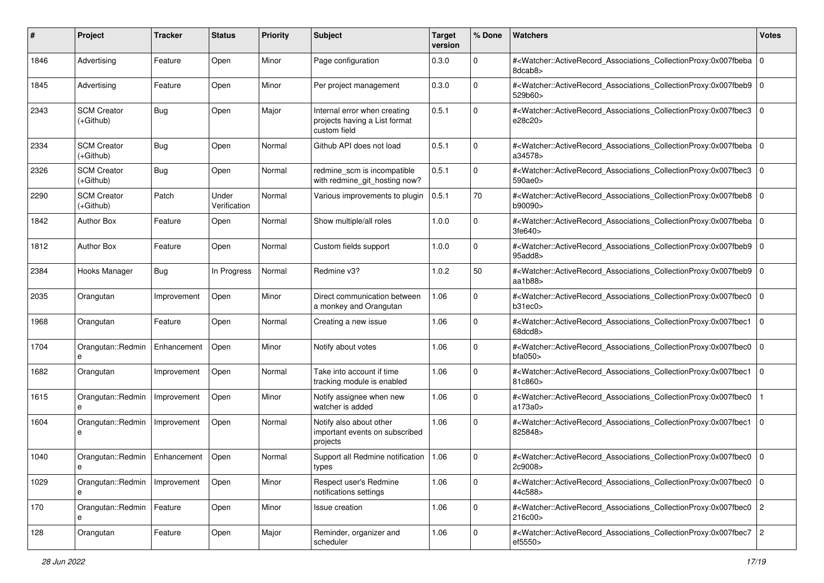| #    | Project                           | <b>Tracker</b> | <b>Status</b>         | <b>Priority</b> | <b>Subject</b>                                                                | <b>Target</b><br>version | % Done      | Watchers                                                                                                                                                   | <b>Votes</b> |
|------|-----------------------------------|----------------|-----------------------|-----------------|-------------------------------------------------------------------------------|--------------------------|-------------|------------------------------------------------------------------------------------------------------------------------------------------------------------|--------------|
| 1846 | Advertising                       | Feature        | Open                  | Minor           | Page configuration                                                            | 0.3.0                    | 0           | # <watcher::activerecord_associations_collectionproxy:0x007fbeba<br>8dcab8&gt;</watcher::activerecord_associations_collectionproxy:0x007fbeba<br>          | $\mathbf 0$  |
| 1845 | Advertising                       | Feature        | Open                  | Minor           | Per project management                                                        | 0.3.0                    | $\mathbf 0$ | # <watcher::activerecord_associations_collectionproxy:0x007fbeb9 0<br="">529b60&gt;</watcher::activerecord_associations_collectionproxy:0x007fbeb9>        |              |
| 2343 | <b>SCM Creator</b><br>$(+Github)$ | Bug            | Open                  | Major           | Internal error when creating<br>projects having a List format<br>custom field | 0.5.1                    | $\Omega$    | # <watcher::activerecord_associations_collectionproxy:0x007fbec3  <br="">e28c20&gt;</watcher::activerecord_associations_collectionproxy:0x007fbec3>        | l O          |
| 2334 | <b>SCM Creator</b><br>(+Github)   | Bug            | Open                  | Normal          | Github API does not load                                                      | 0.5.1                    | 0           | # <watcher::activerecord_associations_collectionproxy:0x007fbeba  <br="">a34578&gt;</watcher::activerecord_associations_collectionproxy:0x007fbeba>        | l O          |
| 2326 | <b>SCM Creator</b><br>(+Github)   | Bug            | Open                  | Normal          | redmine_scm is incompatible<br>with redmine_git_hosting now?                  | 0.5.1                    | $\mathbf 0$ | # <watcher::activerecord_associations_collectionproxy:0x007fbec3<br>590ae0&gt;</watcher::activerecord_associations_collectionproxy:0x007fbec3<br>          | $\mathbf 0$  |
| 2290 | <b>SCM Creator</b><br>$(+Github)$ | Patch          | Under<br>Verification | Normal          | Various improvements to plugin                                                | 0.5.1                    | 70          | # <watcher::activerecord_associations_collectionproxy:0x007fbeb8<br>b90090&gt;</watcher::activerecord_associations_collectionproxy:0x007fbeb8<br>          | l O          |
| 1842 | <b>Author Box</b>                 | Feature        | Open                  | Normal          | Show multiple/all roles                                                       | 1.0.0                    | $\Omega$    | # <watcher::activerecord_associations_collectionproxy:0x007fbeba<br>3fe640&gt;</watcher::activerecord_associations_collectionproxy:0x007fbeba<br>          | $\mathbf 0$  |
| 1812 | <b>Author Box</b>                 | Feature        | Open                  | Normal          | Custom fields support                                                         | 1.0.0                    | $\mathbf 0$ | # <watcher::activerecord_associations_collectionproxy:0x007fbeb9 0<br="">95add8&gt;</watcher::activerecord_associations_collectionproxy:0x007fbeb9>        |              |
| 2384 | Hooks Manager                     | Bug            | In Progress           | Normal          | Redmine v3?                                                                   | 1.0.2                    | 50          | # <watcher::activerecord_associations_collectionproxy:0x007fbeb9<br>aa<math>1b88</math></watcher::activerecord_associations_collectionproxy:0x007fbeb9<br> | $\Omega$     |
| 2035 | Orangutan                         | Improvement    | Open                  | Minor           | Direct communication between<br>a monkey and Orangutan                        | 1.06                     | $\mathbf 0$ | # <watcher::activerecord_associations_collectionproxy:0x007fbec0<br>b31ec0&gt;</watcher::activerecord_associations_collectionproxy:0x007fbec0<br>          | $\mathbf 0$  |
| 1968 | Orangutan                         | Feature        | Open                  | Normal          | Creating a new issue                                                          | 1.06                     | $\Omega$    | # <watcher::activerecord_associations_collectionproxy:0x007fbec1<br>68dcd8&gt;</watcher::activerecord_associations_collectionproxy:0x007fbec1<br>          | $\mathbf 0$  |
| 1704 | Orangutan::Redmin<br>e            | Enhancement    | Open                  | Minor           | Notify about votes                                                            | 1.06                     | $\mathbf 0$ | # <watcher::activerecord_associations_collectionproxy:0x007fbec0<br>bfa050&gt;</watcher::activerecord_associations_collectionproxy:0x007fbec0<br>          | $\mathbf 0$  |
| 1682 | Orangutan                         | Improvement    | Open                  | Normal          | Take into account if time<br>tracking module is enabled                       | 1.06                     | $\mathbf 0$ | # <watcher::activerecord_associations_collectionproxy:0x007fbec1<br>81c860&gt;</watcher::activerecord_associations_collectionproxy:0x007fbec1<br>          | l O          |
| 1615 | Orangutan::Redmin                 | Improvement    | Open                  | Minor           | Notify assignee when new<br>watcher is added                                  | 1.06                     | $\mathbf 0$ | # <watcher::activerecord_associations_collectionproxy:0x007fbec0<br>a173a0&gt;</watcher::activerecord_associations_collectionproxy:0x007fbec0<br>          |              |
| 1604 | Orangutan::Redmin<br>e            | Improvement    | Open                  | Normal          | Notify also about other<br>important events on subscribed<br>projects         | 1.06                     | $\Omega$    | # <watcher::activerecord_associations_collectionproxy:0x007fbec1<br>825848&gt;</watcher::activerecord_associations_collectionproxy:0x007fbec1<br>          | $\mathbf 0$  |
| 1040 | Orangutan::Redmin                 | Enhancement    | Open                  | Normal          | Support all Redmine notification<br>types                                     | 1.06                     | 0           | # <watcher::activerecord_associations_collectionproxy:0x007fbec0 0<br=""  ="">2c9008&gt;</watcher::activerecord_associations_collectionproxy:0x007fbec0>   |              |
| 1029 | Orangutan::Redmin<br>e            | Improvement    | Open                  | Minor           | Respect user's Redmine<br>notifications settings                              | 1.06                     | 0           | # <watcher::activerecord 0<br="" associations="" collectionproxy:0x007fbec0="">44c588&gt;</watcher::activerecord>                                          |              |
| 170  | Orangutan::Redmin   Feature<br>e  |                | Open                  | Minor           | Issue creation                                                                | 1.06                     | $\mathbf 0$ | # <watcher::activerecord_associations_collectionproxy:0x007fbec0 2<br="">216c00&gt;</watcher::activerecord_associations_collectionproxy:0x007fbec0>        |              |
| 128  | Orangutan                         | Feature        | Open                  | Major           | Reminder, organizer and<br>scheduler                                          | 1.06                     | $\mathbf 0$ | # <watcher::activerecord_associations_collectionproxy:0x007fbec7 2<br="">ef5550&gt;</watcher::activerecord_associations_collectionproxy:0x007fbec7>        |              |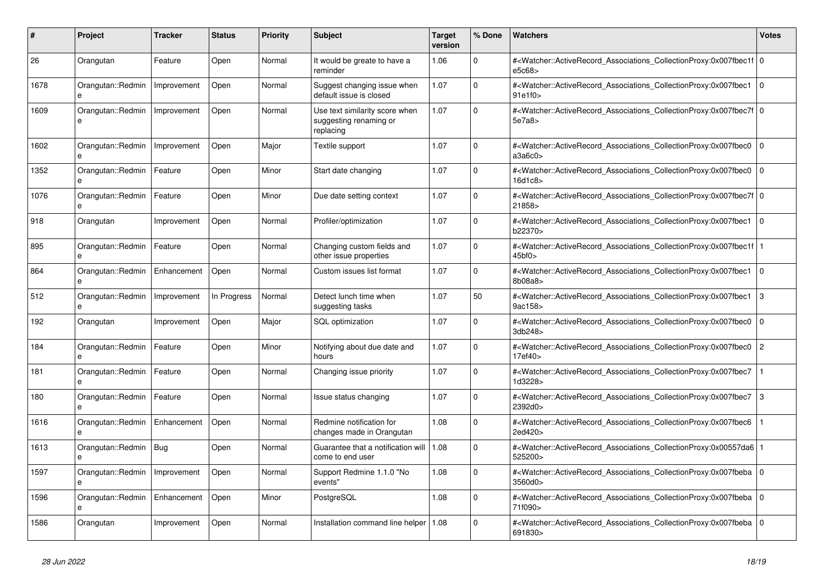| #    | <b>Project</b>                    | Tracker     | <b>Status</b> | <b>Priority</b> | <b>Subject</b>                                                        | <b>Target</b><br>version | % Done       | <b>Watchers</b>                                                                                                                                                      | <b>Votes</b>   |
|------|-----------------------------------|-------------|---------------|-----------------|-----------------------------------------------------------------------|--------------------------|--------------|----------------------------------------------------------------------------------------------------------------------------------------------------------------------|----------------|
| 26   | Orangutan                         | Feature     | Open          | Normal          | It would be greate to have a<br>reminder                              | 1.06                     | $\Omega$     | # <watcher::activerecord_associations_collectionproxy:0x007fbec1f 0<br=""  ="">e5c68&gt;</watcher::activerecord_associations_collectionproxy:0x007fbec1f>            |                |
| 1678 | Orangutan::Redmin<br>e            | Improvement | Open          | Normal          | Suggest changing issue when<br>default issue is closed                | 1.07                     | $\Omega$     | # <watcher::activerecord_associations_collectionproxy:0x007fbec1<br>91e1f0</watcher::activerecord_associations_collectionproxy:0x007fbec1<br>                        | $\overline{0}$ |
| 1609 | Orangutan::Redmin<br>e            | Improvement | Open          | Normal          | Use text similarity score when<br>suggesting renaming or<br>replacing | 1.07                     | $\Omega$     | # <watcher::activerecord 0<br="" associations="" collectionproxy:0x007fbec7f=""  ="">5e7a8&gt;</watcher::activerecord>                                               |                |
| 1602 | Orangutan::Redmin                 | Improvement | Open          | Major           | Textile support                                                       | 1.07                     | $\Omega$     | # <watcher::activerecord_associations_collectionproxy:0x007fbec0<br>a3a6c0</watcher::activerecord_associations_collectionproxy:0x007fbec0<br>                        | $\overline{0}$ |
| 1352 | Orangutan::Redmin                 | Feature     | Open          | Minor           | Start date changing                                                   | 1.07                     | $\Omega$     | # <watcher::activerecord associations="" collectionproxy:0x007fbec0<br="">16d1c8&gt;</watcher::activerecord>                                                         | $\Omega$       |
| 1076 | Orangutan::Redmin<br>e            | Feature     | Open          | Minor           | Due date setting context                                              | 1.07                     | $\mathbf 0$  | # <watcher::activerecord_associations_collectionproxy:0x007fbec7f 0<br=""  ="">21858&gt;</watcher::activerecord_associations_collectionproxy:0x007fbec7f>            |                |
| 918  | Orangutan                         | Improvement | Open          | Normal          | Profiler/optimization                                                 | 1.07                     | $\Omega$     | # <watcher::activerecord_associations_collectionproxy:0x007fbec1<br>b22370&gt;</watcher::activerecord_associations_collectionproxy:0x007fbec1<br>                    | $\Omega$       |
| 895  | Orangutan::Redmin<br>$\mathbf{a}$ | Feature     | Open          | Normal          | Changing custom fields and<br>other issue properties                  | 1.07                     | $\Omega$     | # <watcher::activerecord_associations_collectionproxy:0x007fbec1f 1<br=""  ="">45<sub>bf0&gt;</sub></watcher::activerecord_associations_collectionproxy:0x007fbec1f> |                |
| 864  | Orangutan::Redmin<br>e            | Enhancement | Open          | Normal          | Custom issues list format                                             | 1.07                     | $\mathbf 0$  | # <watcher::activerecord associations="" collectionproxy:0x007fbec1<br="">8b08a8&gt;</watcher::activerecord>                                                         | l O            |
| 512  | Orangutan::Redmin                 | Improvement | In Progress   | Normal          | Detect lunch time when<br>suggesting tasks                            | 1.07                     | 50           | # <watcher::activerecord_associations_collectionproxy:0x007fbec1<br>9ac158&gt;</watcher::activerecord_associations_collectionproxy:0x007fbec1<br>                    | 3              |
| 192  | Orangutan                         | Improvement | Open          | Major           | <b>SQL</b> optimization                                               | 1.07                     | $\mathbf{0}$ | # <watcher::activerecord associations="" collectionproxy:0x007fbec0<br="">3db248&gt;</watcher::activerecord>                                                         | $\Omega$       |
| 184  | Orangutan::Redmin<br>e            | Feature     | Open          | Minor           | Notifying about due date and<br>hours                                 | 1.07                     | $\mathbf 0$  | # <watcher::activerecord associations="" collectionproxy:0x007fbec0<br="">17ef40&gt;</watcher::activerecord>                                                         | $\overline{2}$ |
| 181  | Orangutan::Redmin<br>e            | Feature     | Open          | Normal          | Changing issue priority                                               | 1.07                     | $\Omega$     | # <watcher::activerecord_associations_collectionproxy:0x007fbec7<br>1d3228&gt;</watcher::activerecord_associations_collectionproxy:0x007fbec7<br>                    |                |
| 180  | Orangutan::Redmin<br>e            | Feature     | Open          | Normal          | Issue status changing                                                 | 1.07                     | $\Omega$     | # <watcher::activerecord_associations_collectionproxy:0x007fbec7 3<br="">2392d0&gt;</watcher::activerecord_associations_collectionproxy:0x007fbec7>                  |                |
| 1616 | Orangutan::Redmin<br>e            | Enhancement | Open          | Normal          | Redmine notification for<br>changes made in Orangutan                 | 1.08                     | $\mathbf 0$  | # <watcher::activerecord associations="" collectionproxy:0x007fbec6<br="">2ed420&gt;</watcher::activerecord>                                                         | $\mathbf 1$    |
| 1613 | Orangutan::Redmin                 | <b>Bug</b>  | Open          | Normal          | Guarantee that a notification will<br>come to end user                | 1.08                     | $\Omega$     | # <watcher::activerecord_associations_collectionproxy:0x00557da6 1<br=""  ="">525200&gt;</watcher::activerecord_associations_collectionproxy:0x00557da6>             |                |
| 1597 | Orangutan::Redmin                 | Improvement | Open          | Normal          | Support Redmine 1.1.0 "No<br>events"                                  | 1.08                     | $\Omega$     | # <watcher::activerecord 0<br="" associations="" collectionproxy:0x007fbeba=""  ="">3560d0&gt;</watcher::activerecord>                                               |                |
| 1596 | Orangutan::Redmin<br>e            | Enhancement | Open          | Minor           | PostgreSQL                                                            | 1.08                     | $\mathbf 0$  | # <watcher::activerecord_associations_collectionproxy:0x007fbeba<br>71f090&gt;</watcher::activerecord_associations_collectionproxy:0x007fbeba<br>                    | $\overline{0}$ |
| 1586 | Orangutan                         | Improvement | Open          | Normal          | Installation command line helper                                      | 1.08                     | $\Omega$     | # <watcher::activerecord_associations_collectionproxy:0x007fbeba<br>691830&gt;</watcher::activerecord_associations_collectionproxy:0x007fbeba<br>                    | $\overline{0}$ |